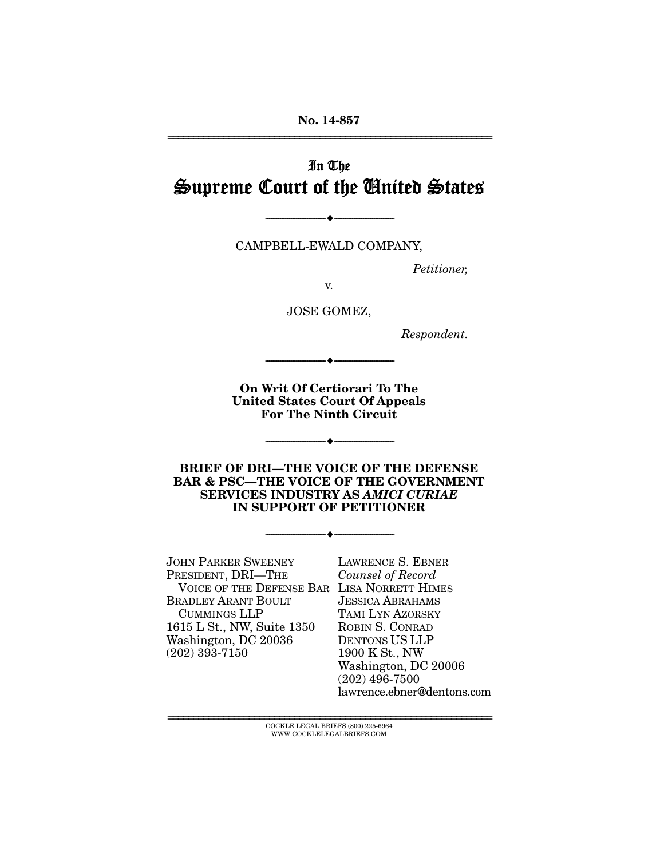# In The Supreme Court of the United States

CAMPBELL-EWALD COMPANY,

--------------------------------- ---------------------------------

*Petitioner,* 

v.

JOSE GOMEZ,

*Respondent.* 

**On Writ Of Certiorari To The United States Court Of Appeals For The Ninth Circuit** 

--------------------------------- ---------------------------------

--------------------------------- ---------------------------------

**BRIEF OF DRI—THE VOICE OF THE DEFENSE BAR & PSC—THE VOICE OF THE GOVERNMENT SERVICES INDUSTRY AS** *AMICI CURIAE* **IN SUPPORT OF PETITIONER** 

--------------------------------- ---------------------------------

JOHN PARKER SWEENEY PRESIDENT, DRI—THE VOICE OF THE DEFENSE BAR LISA NORRETT HIMES BRADLEY ARANT BOULT CUMMINGS LLP 1615 L St., NW, Suite 1350 Washington, DC 20036 (202) 393-7150

LAWRENCE S. EBNER *Counsel of Record* JESSICA ABRAHAMS TAMI LYN AZORSKY ROBIN S. CONRAD DENTONS US LLP 1900 K St., NW Washington, DC 20006 (202) 496-7500 lawrence.ebner@dentons.com

 ${\rm COCKLE}$ LEGAL BRIEFS $(800)$ 225-6964 WWW.COCKLELEGALBRIEFS.COM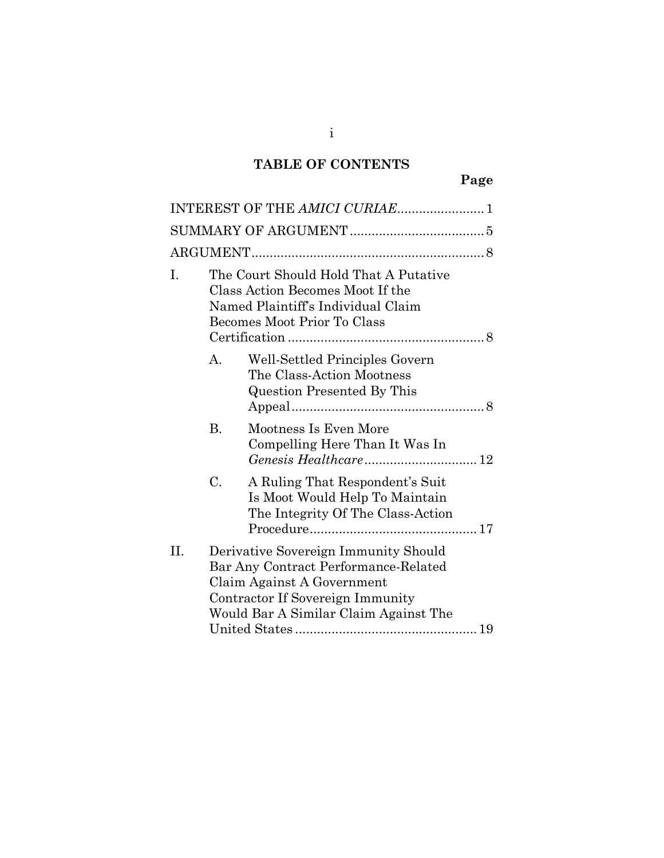# **TABLE OF CONTENTS**

|     |                                                                                                                                                | INTEREST OF THE AMICI CURIAE 1                                                                                                                                                          |  |  |  |
|-----|------------------------------------------------------------------------------------------------------------------------------------------------|-----------------------------------------------------------------------------------------------------------------------------------------------------------------------------------------|--|--|--|
|     |                                                                                                                                                |                                                                                                                                                                                         |  |  |  |
|     |                                                                                                                                                |                                                                                                                                                                                         |  |  |  |
| T.  | The Court Should Hold That A Putative<br>Class Action Becomes Moot If the<br>Named Plaintiff's Individual Claim<br>Becomes Moot Prior To Class |                                                                                                                                                                                         |  |  |  |
|     | $\mathsf{A}$                                                                                                                                   | Well-Settled Principles Govern<br>The Class-Action Mootness<br>Question Presented By This                                                                                               |  |  |  |
|     | B.                                                                                                                                             | Mootness Is Even More<br>Compelling Here Than It Was In                                                                                                                                 |  |  |  |
|     | C.                                                                                                                                             | A Ruling That Respondent's Suit<br>Is Moot Would Help To Maintain<br>The Integrity Of The Class-Action                                                                                  |  |  |  |
| II. |                                                                                                                                                | Derivative Sovereign Immunity Should<br>Bar Any Contract Performance-Related<br>Claim Against A Government<br>Contractor If Sovereign Immunity<br>Would Bar A Similar Claim Against The |  |  |  |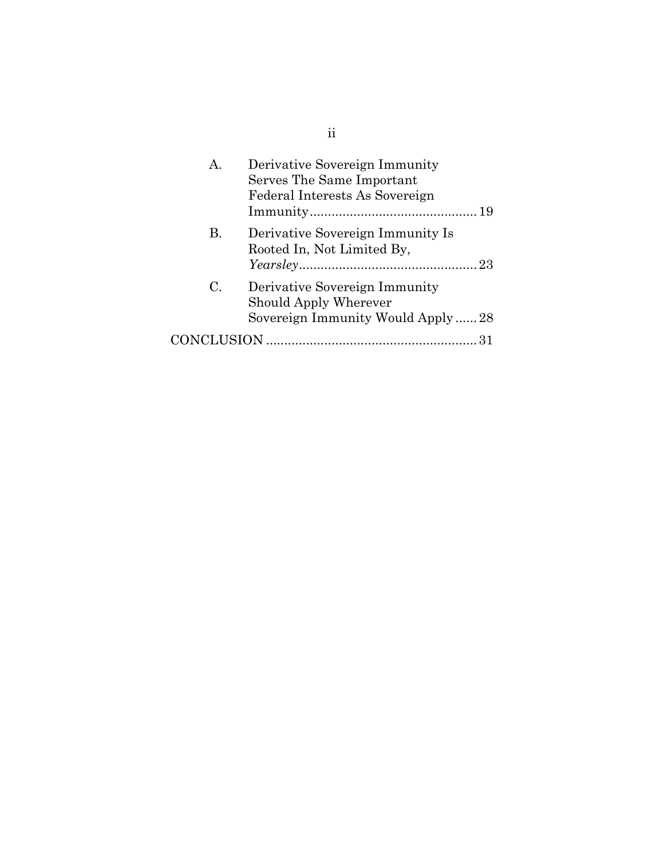| А.          | Derivative Sovereign Immunity<br>Serves The Same Important<br>Federal Interests As Sovereign |
|-------------|----------------------------------------------------------------------------------------------|
| В.          | Derivative Sovereign Immunity Is<br>Rooted In, Not Limited By,                               |
| $C_{\cdot}$ | Derivative Sovereign Immunity<br>Should Apply Wherever<br>Sovereign Immunity Would Apply28   |
| CONCLUSION  |                                                                                              |

ii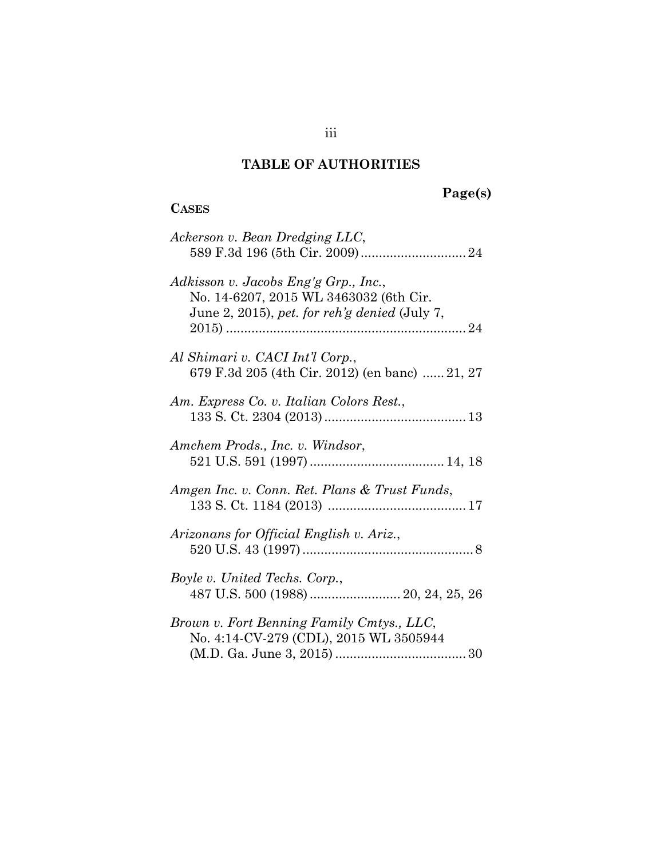#### **TABLE OF AUTHORITIES**

**CASES**

### **Page(s)**

# *Ackerson v. Bean Dredging LLC*, 589 F.3d 196 (5th Cir. 2009).............................[24](#page-32-0) *Adkisson v. Jacobs Eng'g Grp., Inc.*, No. 14-6207, 2015 WL 3463032 (6th Cir. June 2, 2015), *pet. for reh'g denied* (July 7, 2015) ..................................................................[24](#page-32-1) *Al Shimari v. CACI Int'l Corp.*, 679 F.3d 205 (4th Cir. 2012) (en banc) ...... [2](#page-29-0)1, [27](#page-35-0) *Am. Express Co. v. Italian Colors Rest.*, 133 S. Ct. 2304 (2013).......................................[13](#page-21-0) *Amchem Prods., Inc. v. Windsor*, 521 U.S. 591 (1997) ..................................... [14,](#page-22-0) [18](#page-26-0) *Amgen Inc. v. Conn. Ret. Plans & Trust Funds*, 133 S. Ct. 1184 (2013) ......................................[17](#page-25-1) *Arizonans for Official English v. Ariz.*, 520 U.S. 43 (1997) ...............................................[8](#page-16-3) *Boyle v. United Techs. Corp.*, 487 U.S. 500 (1988) ......................... 20, 24, 25, 26 *Brown v. Fort Benning Family Cmtys., LLC*, No. 4:14-CV-279 (CDL), 2015 WL 3505944 (M.D. Ga. June 3, 2015) ....................................[30](#page-38-0)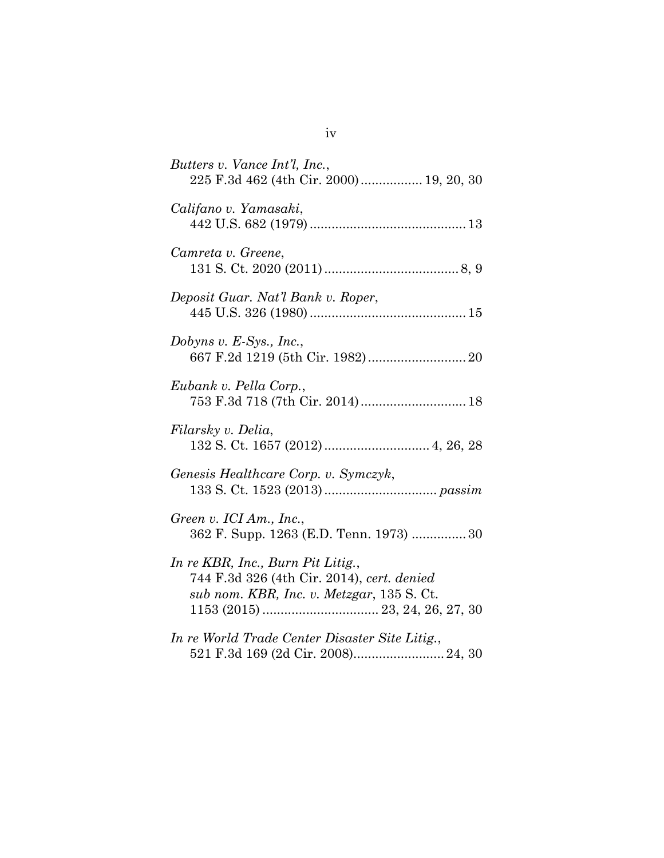| Butters v. Vance Int'l, Inc.,<br>225 F.3d 462 (4th Cir. 2000)  19, 20, 30                                                    |
|------------------------------------------------------------------------------------------------------------------------------|
| Califano v. Yamasaki,                                                                                                        |
| Camreta v. Greene,                                                                                                           |
| Deposit Guar. Nat'l Bank v. Roper,                                                                                           |
| Dobyns v. $E-Sys$ ., Inc.,                                                                                                   |
| Eubank v. Pella Corp.,<br>753 F.3d 718 (7th Cir. 2014) 18                                                                    |
| Filarsky v. Delia,                                                                                                           |
| Genesis Healthcare Corp. v. Symczyk,                                                                                         |
| Green v. ICI Am., Inc.,<br>362 F. Supp. 1263 (E.D. Tenn. 1973) 30                                                            |
| In re KBR, Inc., Burn Pit Litig.,<br>744 F.3d 326 (4th Cir. 2014), cert. denied<br>sub nom. KBR, Inc. v. Metzgar, 135 S. Ct. |
| In re World Trade Center Disaster Site Litig.,<br>521 F.3d 169 (2d Cir. 2008) 24, 30                                         |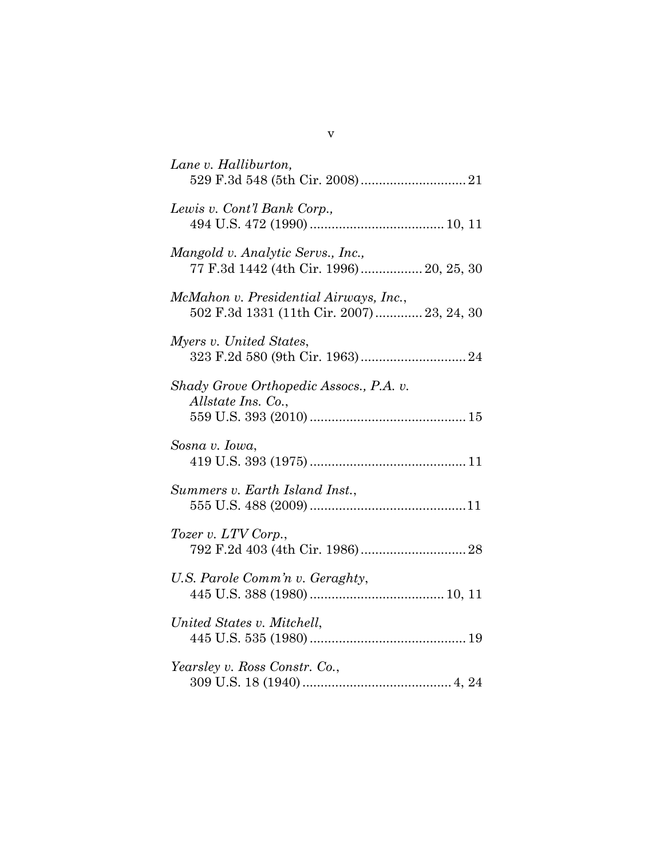| Lane v. Halliburton,                                                                |
|-------------------------------------------------------------------------------------|
| Lewis v. Cont'l Bank Corp.,                                                         |
| Mangold v. Analytic Servs., Inc.,<br>77 F.3d 1442 (4th Cir. 1996)  20, 25, 30       |
| McMahon v. Presidential Airways, Inc.,<br>502 F.3d 1331 (11th Cir. 2007) 23, 24, 30 |
| Myers v. United States,                                                             |
| Shady Grove Orthopedic Assocs., P.A. v.<br><i>Allstate Ins. Co.,</i>                |
| Sosna v. Iowa,                                                                      |
| Summers v. Earth Island Inst.,                                                      |
| Tozer v. LTV Corp.,                                                                 |
| U.S. Parole Comm'n v. Geraghty,                                                     |
| United States v. Mitchell,                                                          |
| Yearsley v. Ross Constr. Co.,                                                       |

v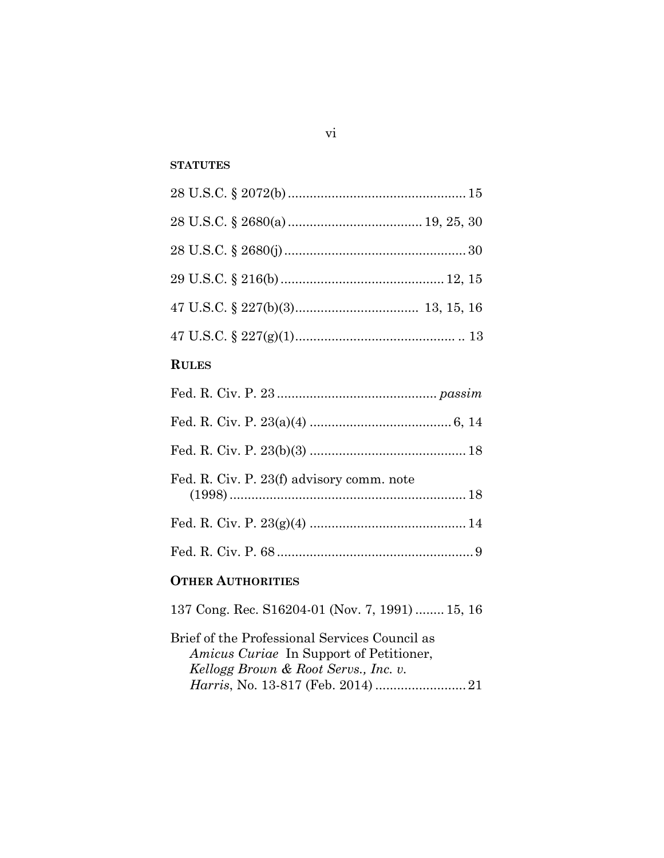# **STATUTES**

| <b>RULES</b>                                                                                                                     |
|----------------------------------------------------------------------------------------------------------------------------------|
|                                                                                                                                  |
|                                                                                                                                  |
|                                                                                                                                  |
| Fed. R. Civ. P. 23(f) advisory comm. note                                                                                        |
|                                                                                                                                  |
|                                                                                                                                  |
| <b>OTHER AUTHORITIES</b>                                                                                                         |
| 137 Cong. Rec. S16204-01 (Nov. 7, 1991)  15, 16                                                                                  |
| Brief of the Professional Services Council as<br>Amicus Curiae In Support of Petitioner,<br>Kellogg Brown & Root Servs., Inc. v. |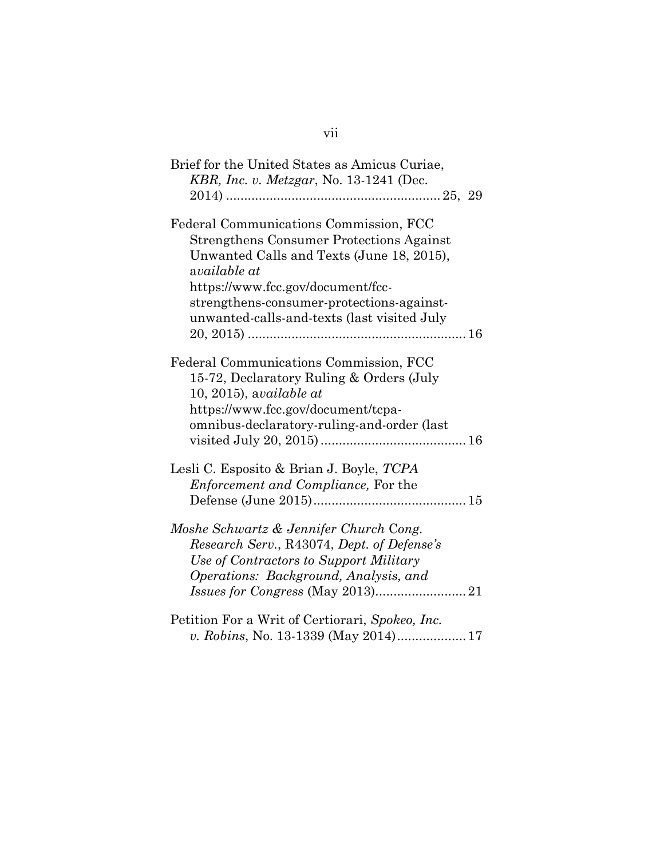| Brief for the United States as Amicus Curiae,                                                                                                                                                       |
|-----------------------------------------------------------------------------------------------------------------------------------------------------------------------------------------------------|
| KBR, Inc. v. Metzgar, No. 13-1241 (Dec.                                                                                                                                                             |
|                                                                                                                                                                                                     |
| Federal Communications Commission, FCC<br><b>Strengthens Consumer Protections Against</b><br>Unwanted Calls and Texts (June 18, 2015),<br>available at                                              |
| https://www.fcc.gov/document/fcc-                                                                                                                                                                   |
| strengthens-consumer-protections-against-<br>unwanted-calls-and-texts (last visited July                                                                                                            |
|                                                                                                                                                                                                     |
| Federal Communications Commission, FCC<br>15-72, Declaratory Ruling & Orders (July<br>$10, 2015$ , available at<br>https://www.fcc.gov/document/tcpa-<br>omnibus-declaratory-ruling-and-order (last |
|                                                                                                                                                                                                     |
| Lesli C. Esposito & Brian J. Boyle, TCPA<br>Enforcement and Compliance, For the                                                                                                                     |
| Moshe Schwartz & Jennifer Church Cong.<br>Research Serv., R43074, Dept. of Defense's<br>Use of Contractors to Support Military<br>Operations: Background, Analysis, and                             |
| Petition For a Writ of Certiorari, Spokeo, Inc.                                                                                                                                                     |
| v. Robins, No. 13-1339 (May 2014) 17                                                                                                                                                                |

# vii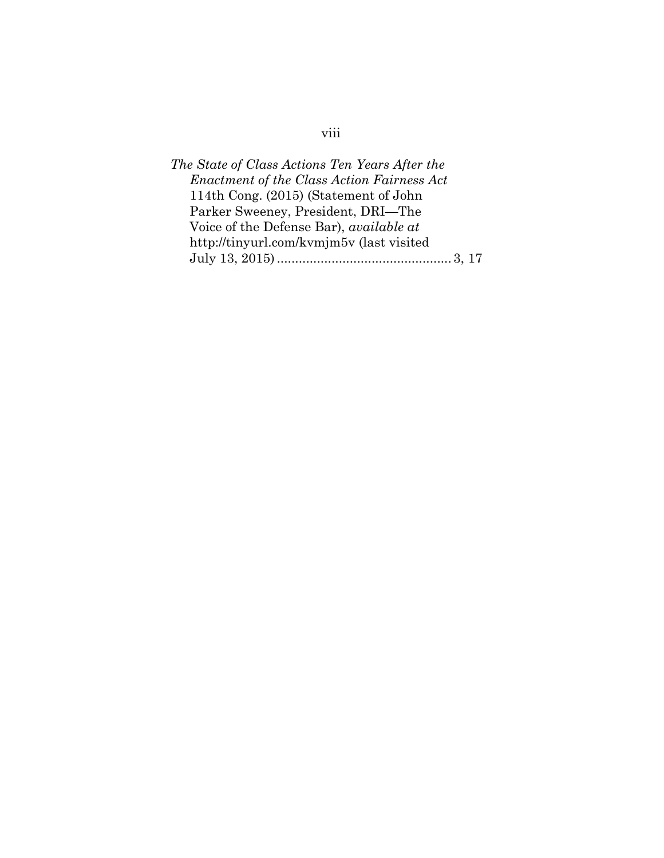# viii

| The State of Class Actions Ten Years After the    |  |
|---------------------------------------------------|--|
| <b>Enactment of the Class Action Fairness Act</b> |  |
| 114th Cong. (2015) (Statement of John             |  |
| Parker Sweeney, President, DRI—The                |  |
| Voice of the Defense Bar), <i>available at</i>    |  |
| http://tinyurl.com/kvmjm5v (last visited          |  |
|                                                   |  |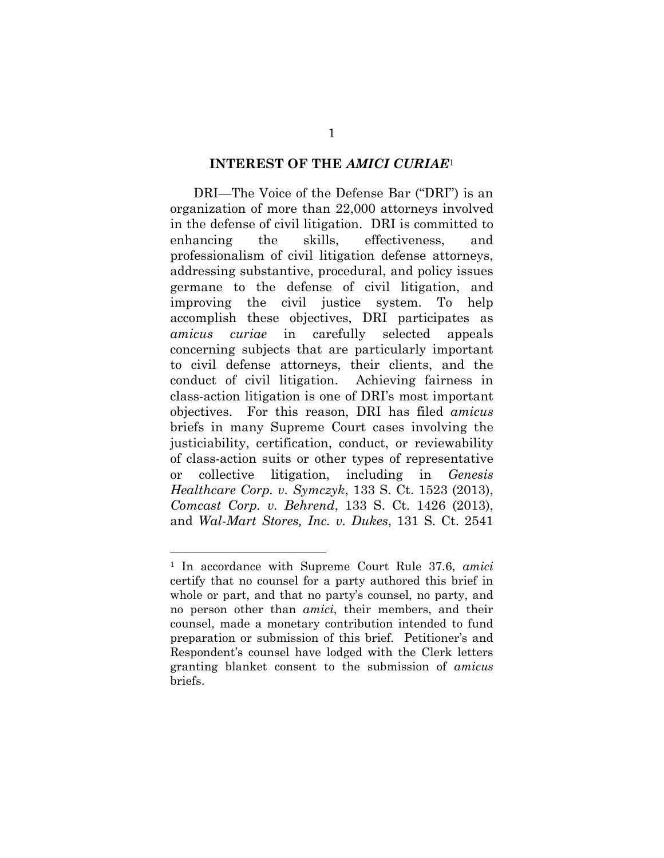#### <span id="page-9-0"></span>**INTEREST OF THE** *AMICI CURIAE*[1](#page-9-2)

DRI—The Voice of the Defense Bar ("DRI") is an organization of more than 22,000 attorneys involved in the defense of civil litigation. DRI is committed to enhancing the skills, effectiveness, and professionalism of civil litigation defense attorneys, addressing substantive, procedural, and policy issues germane to the defense of civil litigation, and improving the civil justice system. To help accomplish these objectives, DRI participates as *amicus curiae* in carefully selected appeals concerning subjects that are particularly important to civil defense attorneys, their clients, and the conduct of civil litigation. Achieving fairness in class-action litigation is one of DRI's most important objectives. For this reason, DRI has filed *amicus* briefs in many Supreme Court cases involving the justiciability, certification, conduct, or reviewability of class-action suits or other types of representative or collective litigation, including in *Genesis Healthcare Corp. v. Symczyk*, 133 S. Ct. 1523 (2013), *Comcast Corp. v. Behrend*, 133 S. Ct. 1426 (2013), and *Wal-Mart Stores, Inc. v. Dukes*, 131 S. Ct. 2541

<span id="page-9-2"></span><span id="page-9-1"></span><sup>1</sup> In accordance with Supreme Court Rule 37.6, *amici* certify that no counsel for a party authored this brief in whole or part, and that no party's counsel, no party, and no person other than *amici*, their members, and their counsel, made a monetary contribution intended to fund preparation or submission of this brief. Petitioner's and Respondent's counsel have lodged with the Clerk letters granting blanket consent to the submission of *amicus* briefs.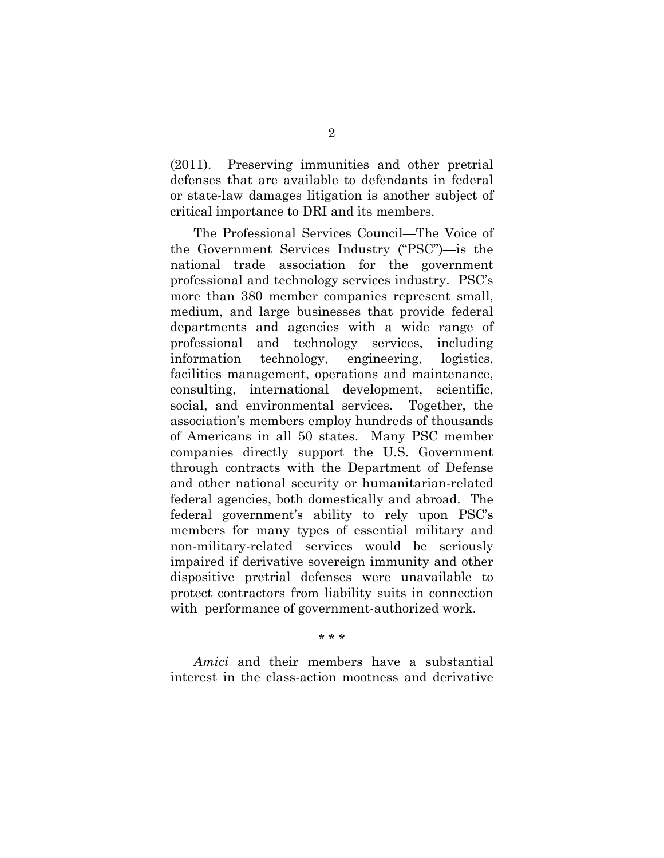(2011). Preserving immunities and other pretrial defenses that are available to defendants in federal or state-law damages litigation is another subject of critical importance to DRI and its members.

The Professional Services Council—The Voice of the Government Services Industry ("PSC")—is the national trade association for the government professional and technology services industry. PSC's more than 380 member companies represent small, medium, and large businesses that provide federal departments and agencies with a wide range of professional and technology services, including information technology, engineering, logistics, facilities management, operations and maintenance, consulting, international development, scientific, social, and environmental services. Together, the association's members employ hundreds of thousands of Americans in all 50 states. Many PSC member companies directly support the U.S. Government through contracts with the Department of Defense and other national security or humanitarian-related federal agencies, both domestically and abroad. The federal government's ability to rely upon PSC's members for many types of essential military and non-military-related services would be seriously impaired if derivative sovereign immunity and other dispositive pretrial defenses were unavailable to protect contractors from liability suits in connection with performance of government-authorized work.

\* \* \*

*Amici* and their members have a substantial interest in the class-action mootness and derivative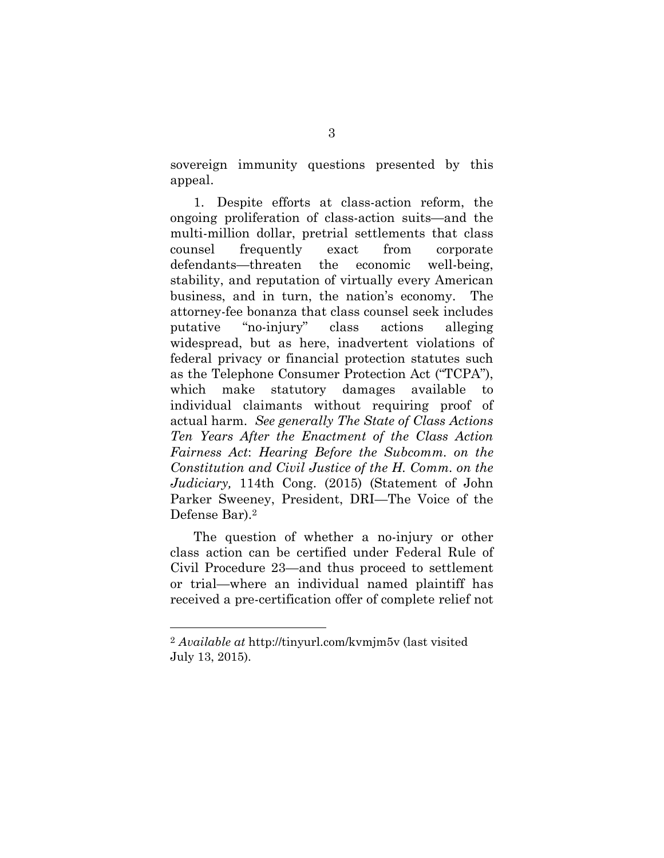sovereign immunity questions presented by this appeal.

1. Despite efforts at class-action reform, the ongoing proliferation of class-action suits—and the multi-million dollar, pretrial settlements that class counsel frequently exact from corporate defendants—threaten the economic well-being, stability, and reputation of virtually every American business, and in turn, the nation's economy. The attorney-fee bonanza that class counsel seek includes putative "no-injury" class actions alleging widespread, but as here, inadvertent violations of federal privacy or financial protection statutes such as the Telephone Consumer Protection Act ("TCPA"), which make statutory damages available to individual claimants without requiring proof of actual harm. *See generally The State of Class Actions Ten Years After the Enactment of the Class Action Fairness Act*: *Hearing Before the Subcomm. on the Constitution and Civil Justice of the H. Comm. on the Judiciary,* 114th Cong. (2015) (Statement of John Parker Sweeney, President, DRI—The Voice of the Defense Bar).[2](#page-11-2)

<span id="page-11-1"></span><span id="page-11-0"></span>The question of whether a no-injury or other class action can be certified under Federal Rule of Civil Procedure 23—and thus proceed to settlement or trial—where an individual named plaintiff has received a pre-certification offer of complete relief not

<span id="page-11-2"></span><sup>2</sup> *Available at* http://tinyurl.com/kvmjm5v (last visited July 13, 2015).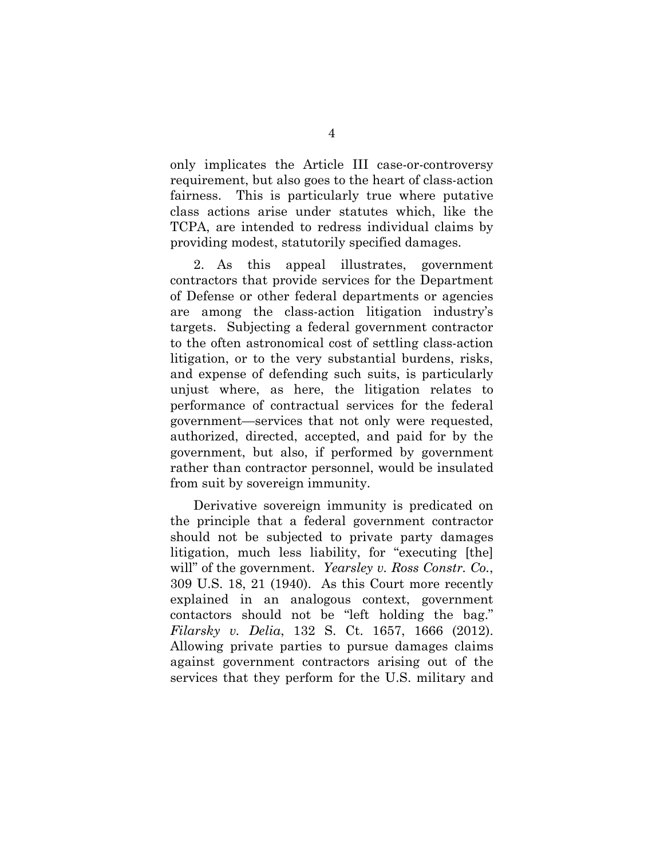only implicates the Article III case-or-controversy requirement, but also goes to the heart of class-action fairness. This is particularly true where putative class actions arise under statutes which, like the TCPA, are intended to redress individual claims by providing modest, statutorily specified damages.

2. As this appeal illustrates, government contractors that provide services for the Department of Defense or other federal departments or agencies are among the class-action litigation industry's targets. Subjecting a federal government contractor to the often astronomical cost of settling class-action litigation, or to the very substantial burdens, risks, and expense of defending such suits, is particularly unjust where, as here, the litigation relates to performance of contractual services for the federal government—services that not only were requested, authorized, directed, accepted, and paid for by the government, but also, if performed by government rather than contractor personnel, would be insulated from suit by sovereign immunity.

<span id="page-12-0"></span>Derivative sovereign immunity is predicated on the principle that a federal government contractor should not be subjected to private party damages litigation, much less liability, for "executing [the] will" of the government. *Yearsley v. Ross Constr. Co.*, 309 U.S. 18, 21 (1940). As this Court more recently explained in an analogous context, government contactors should not be "left holding the bag." *Filarsky v. Delia*, 132 S. Ct. 1657, 1666 (2012). Allowing private parties to pursue damages claims against government contractors arising out of the services that they perform for the U.S. military and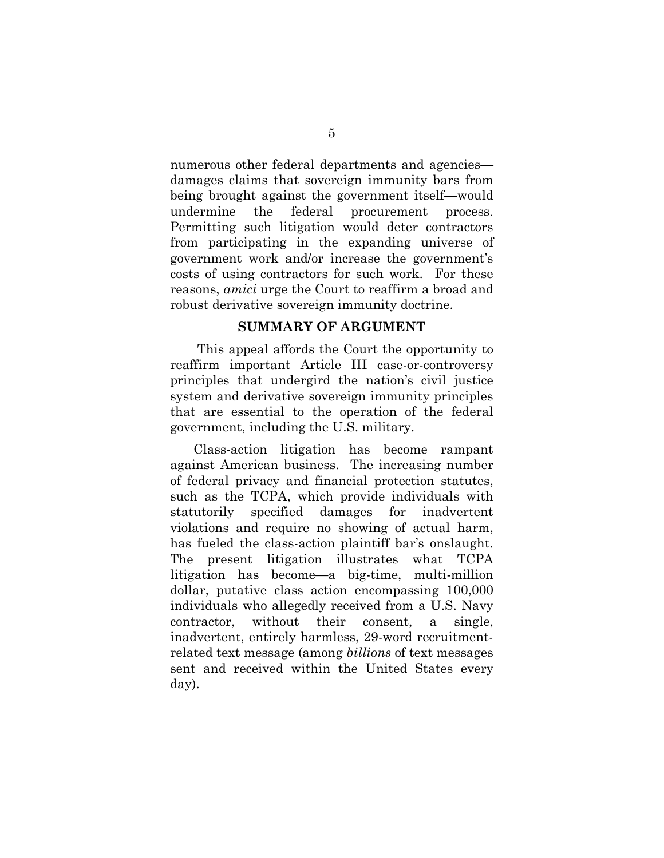numerous other federal departments and agencies damages claims that sovereign immunity bars from being brought against the government itself—would undermine the federal procurement process. Permitting such litigation would deter contractors from participating in the expanding universe of government work and/or increase the government's costs of using contractors for such work. For these reasons, *amici* urge the Court to reaffirm a broad and robust derivative sovereign immunity doctrine.

#### **SUMMARY OF ARGUMENT**

This appeal affords the Court the opportunity to reaffirm important Article III case-or-controversy principles that undergird the nation's civil justice system and derivative sovereign immunity principles that are essential to the operation of the federal government, including the U.S. military.

Class-action litigation has become rampant against American business. The increasing number of federal privacy and financial protection statutes, such as the TCPA, which provide individuals with statutorily specified damages for inadvertent violations and require no showing of actual harm, has fueled the class-action plaintiff bar's onslaught. The present litigation illustrates what TCPA litigation has become—a big-time, multi-million dollar, putative class action encompassing 100,000 individuals who allegedly received from a U.S. Navy contractor, without their consent, a single, inadvertent, entirely harmless, 29-word recruitmentrelated text message (among *billions* of text messages sent and received within the United States every day).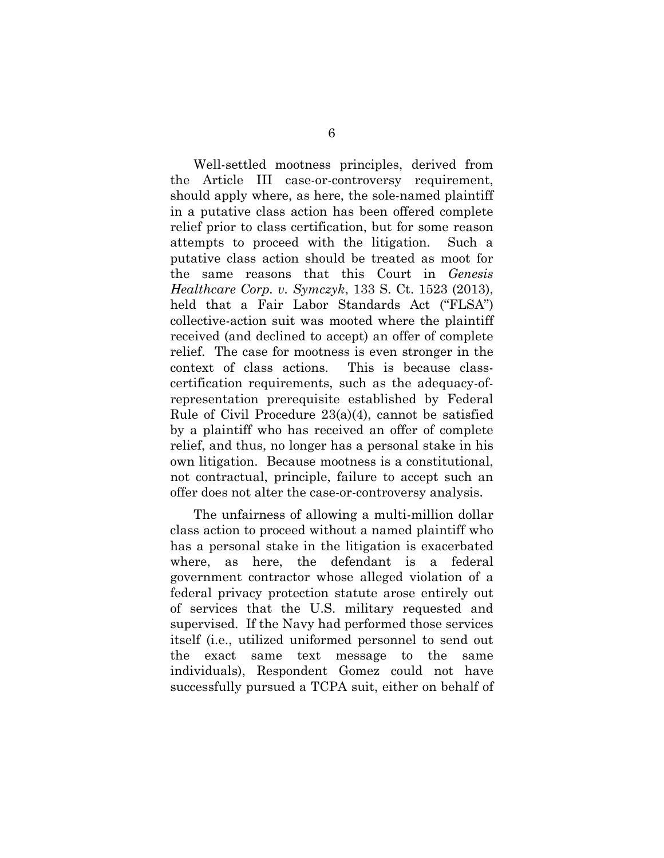Well-settled mootness principles, derived from the Article III case-or-controversy requirement, should apply where, as here, the sole-named plaintiff in a putative class action has been offered complete relief prior to class certification, but for some reason attempts to proceed with the litigation. Such a putative class action should be treated as moot for the same reasons that this Court in *Genesis Healthcare Corp. v. Symczyk*, 133 S. Ct. 1523 (2013), held that a Fair Labor Standards Act ("FLSA") collective-action suit was mooted where the plaintiff received (and declined to accept) an offer of complete relief. The case for mootness is even stronger in the context of class actions. This is because classcertification requirements, such as the adequacy-ofrepresentation prerequisite established by Federal Rule of Civil Procedure 23(a)(4), cannot be satisfied by a plaintiff who has received an offer of complete relief, and thus, no longer has a personal stake in his own litigation. Because mootness is a constitutional, not contractual, principle, failure to accept such an offer does not alter the case-or-controversy analysis.

The unfairness of allowing a multi-million dollar class action to proceed without a named plaintiff who has a personal stake in the litigation is exacerbated where, as here, the defendant is a federal government contractor whose alleged violation of a federal privacy protection statute arose entirely out of services that the U.S. military requested and supervised. If the Navy had performed those services itself (i.e., utilized uniformed personnel to send out the exact same text message to the same individuals), Respondent Gomez could not have successfully pursued a TCPA suit, either on behalf of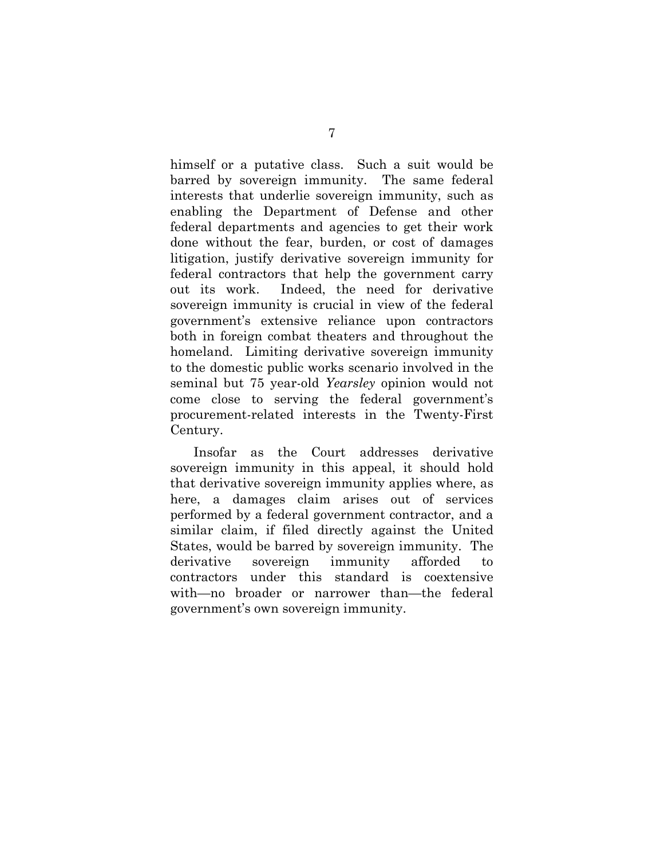himself or a putative class. Such a suit would be barred by sovereign immunity. The same federal interests that underlie sovereign immunity, such as enabling the Department of Defense and other federal departments and agencies to get their work done without the fear, burden, or cost of damages litigation, justify derivative sovereign immunity for federal contractors that help the government carry out its work. Indeed, the need for derivative sovereign immunity is crucial in view of the federal government's extensive reliance upon contractors both in foreign combat theaters and throughout the homeland. Limiting derivative sovereign immunity to the domestic public works scenario involved in the seminal but 75 year-old *Yearsley* opinion would not come close to serving the federal government's procurement-related interests in the Twenty-First Century.

Insofar as the Court addresses derivative sovereign immunity in this appeal, it should hold that derivative sovereign immunity applies where, as here, a damages claim arises out of services performed by a federal government contractor, and a similar claim, if filed directly against the United States, would be barred by sovereign immunity. The derivative sovereign immunity afforded to contractors under this standard is coextensive with—no broader or narrower than—the federal government's own sovereign immunity.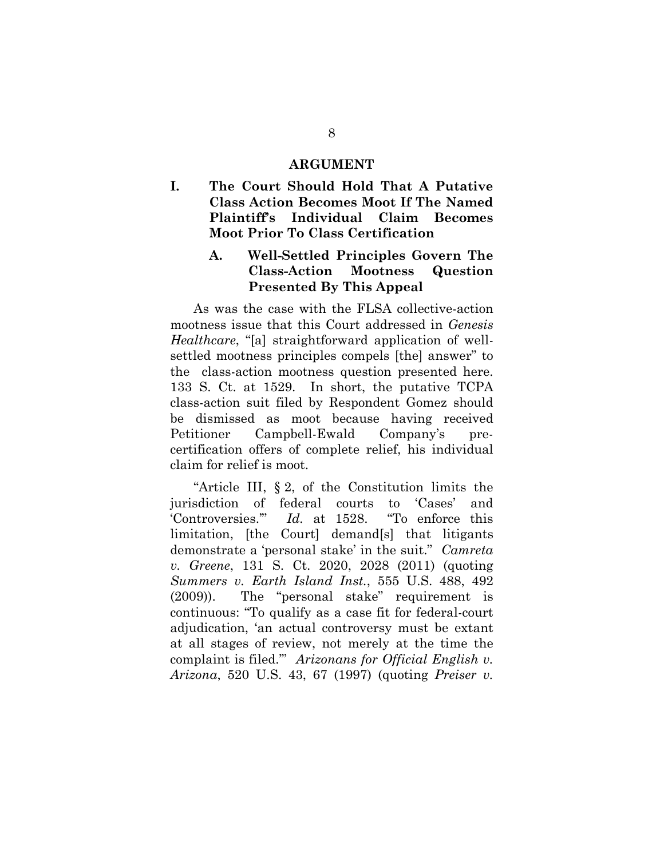#### <span id="page-16-0"></span>**ARGUMENT**

<span id="page-16-1"></span>**I. The Court Should Hold That A Putative Class Action Becomes Moot If The Named Plaintiff's Individual Claim Becomes Moot Prior To Class Certification**

# <span id="page-16-2"></span>**A. Well-Settled Principles Govern The Class-Action Mootness Question Presented By This Appeal**

As was the case with the FLSA collective-action mootness issue that this Court addressed in *Genesis Healthcare*, "[a] straightforward application of wellsettled mootness principles compels [the] answer" to the class-action mootness question presented here. 133 S. Ct. at 1529. In short, the putative TCPA class-action suit filed by Respondent Gomez should be dismissed as moot because having received Petitioner Campbell-Ewald Company's precertification offers of complete relief, his individual claim for relief is moot.

<span id="page-16-4"></span><span id="page-16-3"></span>"Article III, § 2, of the Constitution limits the jurisdiction of federal courts to 'Cases' and 'Controversies.'" *Id.* at 1528. "To enforce this limitation, [the Court] demand[s] that litigants demonstrate a 'personal stake' in the suit." *Camreta v. Greene*, 131 S. Ct. 2020, 2028 (2011) (quoting *Summers v. Earth Island Inst.*, 555 U.S. 488, 492 (2009)). The "personal stake" requirement is continuous: "To qualify as a case fit for federal-court adjudication, 'an actual controversy must be extant at all stages of review, not merely at the time the complaint is filed.'" *Arizonans for Official English v. Arizona*, 520 U.S. 43, 67 (1997) (quoting *Preiser v.*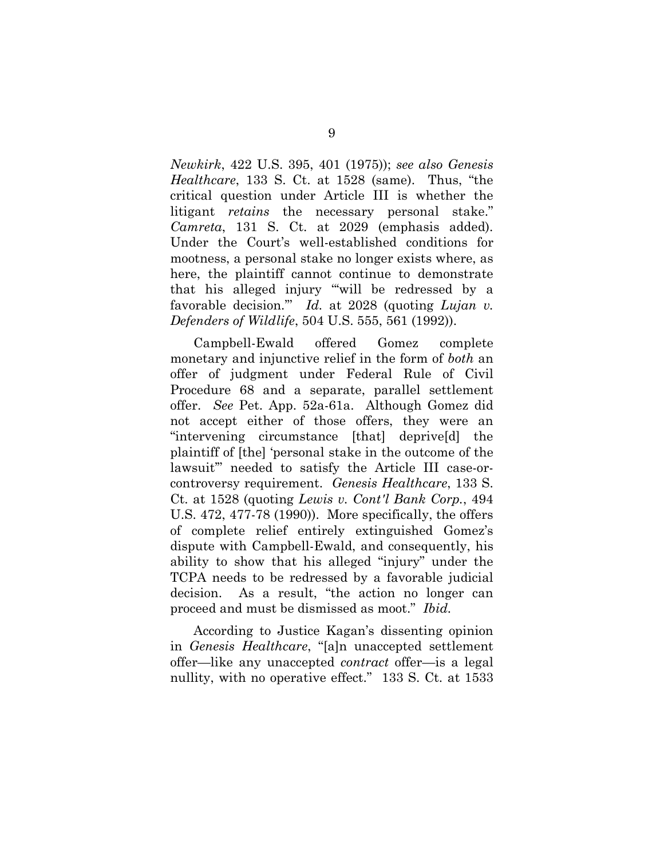*Newkirk*, 422 U.S. 395, 401 (1975)); *see also Genesis Healthcare*, 133 S. Ct. at 1528 (same). Thus, "the critical question under Article III is whether the litigant *retains* the necessary personal stake." *Camreta*, 131 S. Ct. at 2029 (emphasis added). Under the Court's well-established conditions for mootness, a personal stake no longer exists where, as here, the plaintiff cannot continue to demonstrate that his alleged injury "'will be redressed by a favorable decision.'" *Id.* at 2028 (quoting *Lujan v. Defenders of Wildlife*, 504 U.S. 555, 561 (1992)).

<span id="page-17-0"></span>Campbell-Ewald offered Gomez complete monetary and injunctive relief in the form of *both* an offer of judgment under Federal Rule of Civil Procedure 68 and a separate, parallel settlement offer. *See* Pet. App. 52a-61a. Although Gomez did not accept either of those offers, they were an "intervening circumstance [that] deprive[d] the plaintiff of [the] 'personal stake in the outcome of the lawsuit'" needed to satisfy the Article III case-orcontroversy requirement. *Genesis Healthcare*, 133 S. Ct. at 1528 (quoting *Lewis v. Cont'l Bank Corp.*, 494 U.S. 472, 477-78 (1990)). More specifically, the offers of complete relief entirely extinguished Gomez's dispute with Campbell-Ewald, and consequently, his ability to show that his alleged "injury" under the TCPA needs to be redressed by a favorable judicial decision. As a result, "the action no longer can proceed and must be dismissed as moot." *Ibid.*

According to Justice Kagan's dissenting opinion in *Genesis Healthcare*, "[a]n unaccepted settlement offer—like any unaccepted *contract* offer—is a legal nullity, with no operative effect." 133 S. Ct. at 1533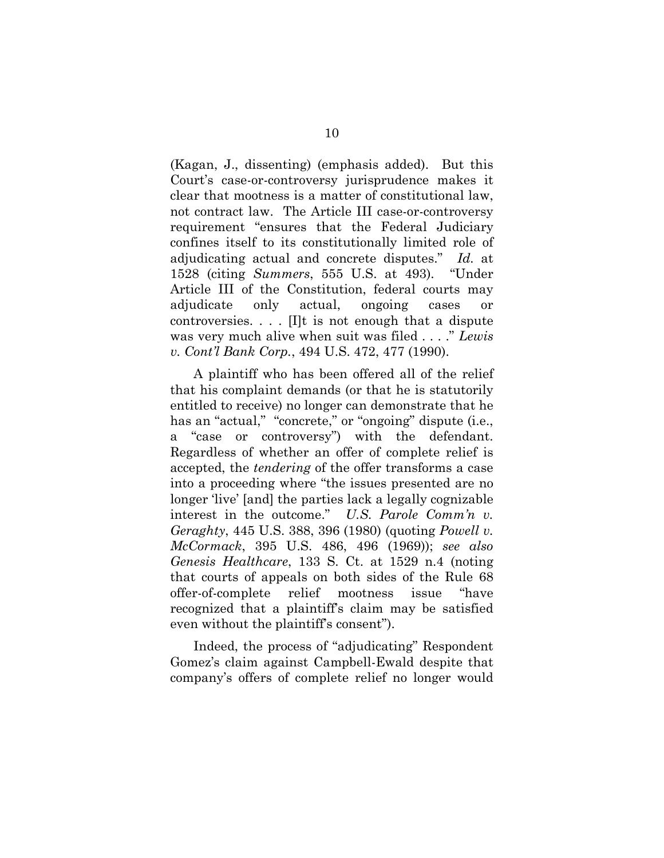(Kagan, J., dissenting) (emphasis added). But this Court's case-or-controversy jurisprudence makes it clear that mootness is a matter of constitutional law, not contract law. The Article III case-or-controversy requirement "ensures that the Federal Judiciary confines itself to its constitutionally limited role of adjudicating actual and concrete disputes." *Id.* at 1528 (citing *Summers*, 555 U.S. at 493). "Under Article III of the Constitution, federal courts may adjudicate only actual, ongoing cases or controversies.  $\ldots$  [I]t is not enough that a dispute was very much alive when suit was filed . . . ." *Lewis v. Cont'l Bank Corp.*, 494 U.S. 472, 477 (1990).

<span id="page-18-0"></span>A plaintiff who has been offered all of the relief that his complaint demands (or that he is statutorily entitled to receive) no longer can demonstrate that he has an "actual," "concrete," or "ongoing" dispute (i.e., a "case or controversy") with the defendant. Regardless of whether an offer of complete relief is accepted, the *tendering* of the offer transforms a case into a proceeding where "the issues presented are no longer 'live' [and] the parties lack a legally cognizable interest in the outcome." *U.S. Parole Comm'n v. Geraghty*, 445 U.S. 388, 396 (1980) (quoting *Powell v. McCormack*, 395 U.S. 486, 496 (1969)); *see also Genesis Healthcare*, 133 S. Ct. at 1529 n.4 (noting that courts of appeals on both sides of the Rule 68 offer-of-complete relief mootness issue "have recognized that a plaintiff's claim may be satisfied even without the plaintiff's consent").

Indeed, the process of "adjudicating" Respondent Gomez's claim against Campbell-Ewald despite that company's offers of complete relief no longer would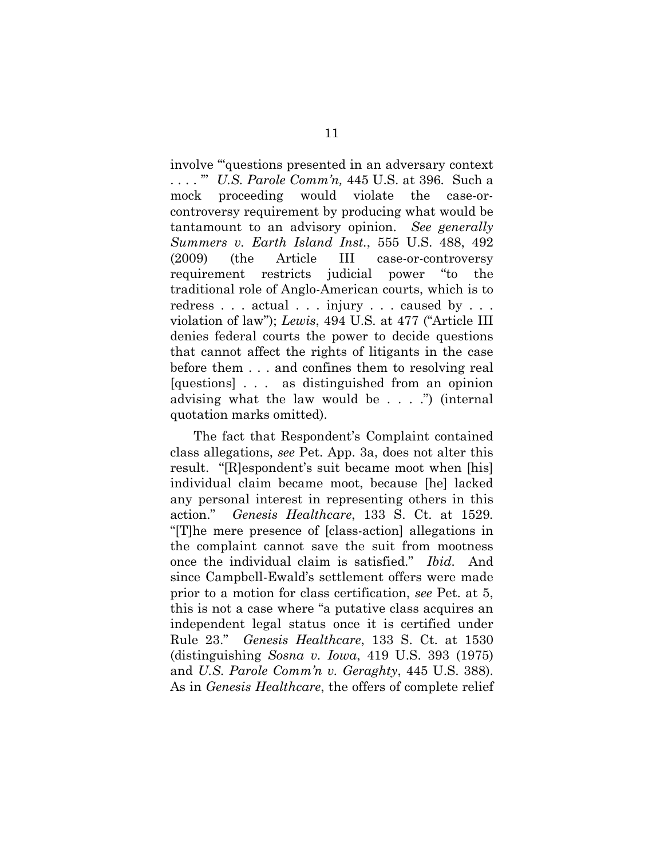<span id="page-19-0"></span>involve "'questions presented in an adversary context . . . . '" *U.S. Parole Comm'n,* 445 U.S. at 396*.* Such a mock proceeding would violate the case-orcontroversy requirement by producing what would be tantamount to an advisory opinion. *See generally Summers v. Earth Island Inst.*, 555 U.S. 488, 492 (2009) (the Article III case-or-controversy requirement restricts judicial power "to the traditional role of Anglo-American courts, which is to redress . . . actual . . . injury . . . caused by . . . violation of law"); *Lewis*, 494 U.S. at 477 ("Article III denies federal courts the power to decide questions that cannot affect the rights of litigants in the case before them . . . and confines them to resolving real [questions] . . . as distinguished from an opinion advising what the law would be . . . .") (internal quotation marks omitted).

The fact that Respondent's Complaint contained class allegations, *see* Pet. App. 3a, does not alter this result. "[R]espondent's suit became moot when [his] individual claim became moot, because [he] lacked any personal interest in representing others in this action." *Genesis Healthcare*, 133 S. Ct. at 1529*.* "[T]he mere presence of [class-action] allegations in the complaint cannot save the suit from mootness once the individual claim is satisfied." *Ibid.* And since Campbell-Ewald's settlement offers were made prior to a motion for class certification, *see* Pet. at 5, this is not a case where "a putative class acquires an independent legal status once it is certified under Rule 23." *Genesis Healthcare*, 133 S. Ct. at 1530 (distinguishing *Sosna v. Iowa*, 419 U.S. 393 (1975) and *U.S. Parole Comm'n v. Geraghty*, 445 U.S. 388). As in *Genesis Healthcare*, the offers of complete relief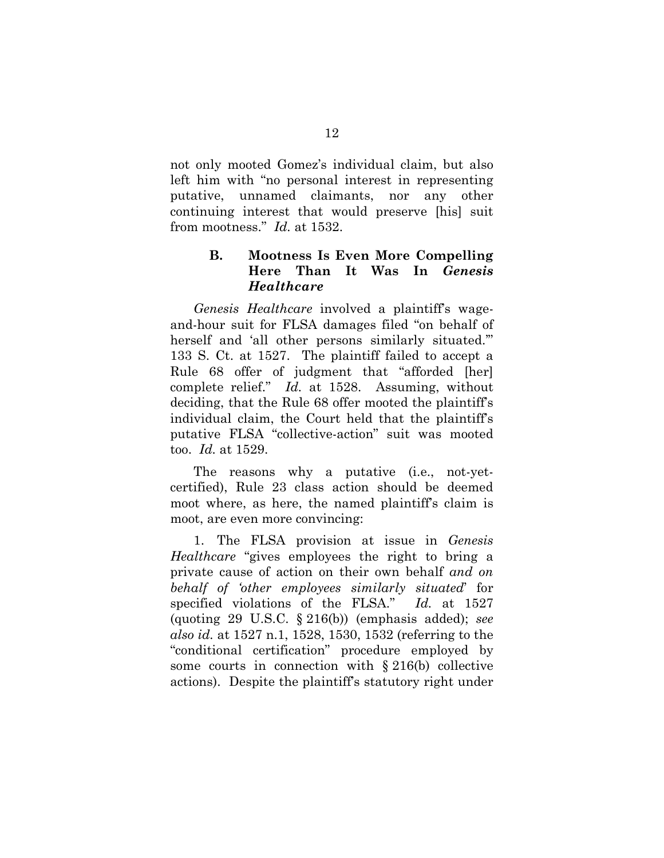not only mooted Gomez's individual claim, but also left him with "no personal interest in representing putative, unnamed claimants, nor any other continuing interest that would preserve [his] suit from mootness." *Id.* at 1532.

# <span id="page-20-0"></span>**B. Mootness Is Even More Compelling Here Than It Was In** *Genesis Healthcare*

*Genesis Healthcare* involved a plaintiff's wageand-hour suit for FLSA damages filed "on behalf of herself and 'all other persons similarly situated.'" 133 S. Ct. at 1527. The plaintiff failed to accept a Rule 68 offer of judgment that "afforded [her] complete relief." *Id.* at 1528. Assuming, without deciding, that the Rule 68 offer mooted the plaintiff's individual claim, the Court held that the plaintiff's putative FLSA "collective-action" suit was mooted too. *Id.* at 1529.

The reasons why a putative (i.e., not-yetcertified), Rule 23 class action should be deemed moot where, as here, the named plaintiff's claim is moot, are even more convincing:

<span id="page-20-1"></span>1. The FLSA provision at issue in *Genesis Healthcare* "gives employees the right to bring a private cause of action on their own behalf *and on behalf of 'other employees similarly situated*' for specified violations of the FLSA." *Id.* at 1527 (quoting 29 U.S.C. § 216(b)) (emphasis added); *see also id.* at 1527 n.1, 1528, 1530, 1532 (referring to the "conditional certification" procedure employed by some courts in connection with  $\S 216(b)$  collective actions). Despite the plaintiff's statutory right under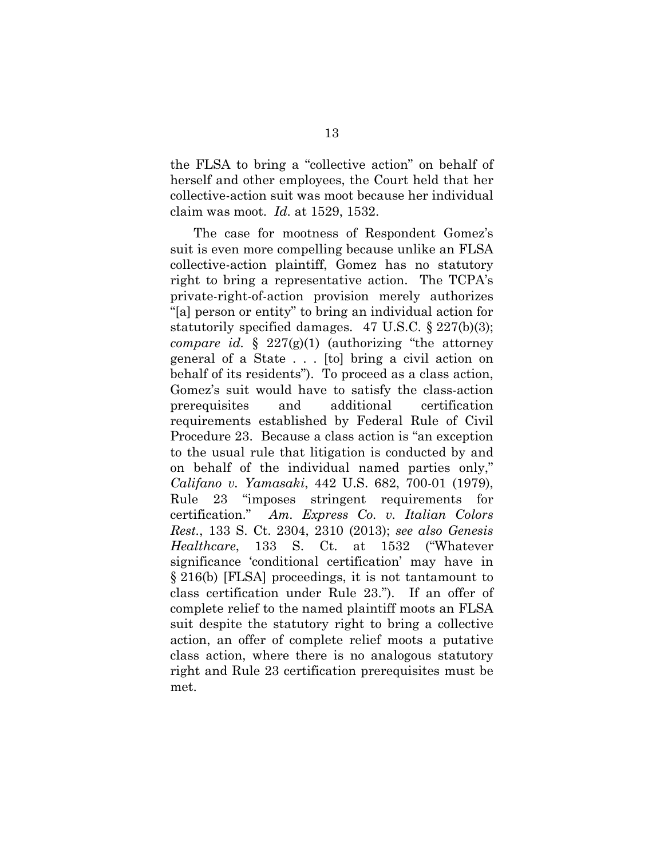the FLSA to bring a "collective action" on behalf of herself and other employees, the Court held that her collective-action suit was moot because her individual claim was moot. *Id.* at 1529, 1532.

<span id="page-21-2"></span><span id="page-21-1"></span><span id="page-21-0"></span>The case for mootness of Respondent Gomez's suit is even more compelling because unlike an FLSA collective-action plaintiff, Gomez has no statutory right to bring a representative action. The TCPA's private-right-of-action provision merely authorizes "[a] person or entity" to bring an individual action for statutorily specified damages. 47 U.S.C. § 227(b)(3); *compare id.* § 227(g)(1) (authorizing "the attorney general of a State . . . [to] bring a civil action on behalf of its residents"). To proceed as a class action, Gomez's suit would have to satisfy the class-action prerequisites and additional certification requirements established by Federal Rule of Civil Procedure 23. Because a class action is "an exception to the usual rule that litigation is conducted by and on behalf of the individual named parties only," *Califano v. Yamasaki*, 442 U.S. 682, 700-01 (1979), Rule 23 "imposes stringent requirements for certification." *Am. Express Co. v. Italian Colors Rest.*, 133 S. Ct. 2304, 2310 (2013); *see also Genesis Healthcare*, 133 S. Ct. at 1532 ("Whatever significance 'conditional certification' may have in § 216(b) [FLSA] proceedings, it is not tantamount to class certification under Rule 23."). If an offer of complete relief to the named plaintiff moots an FLSA suit despite the statutory right to bring a collective action, an offer of complete relief moots a putative class action, where there is no analogous statutory right and Rule 23 certification prerequisites must be met.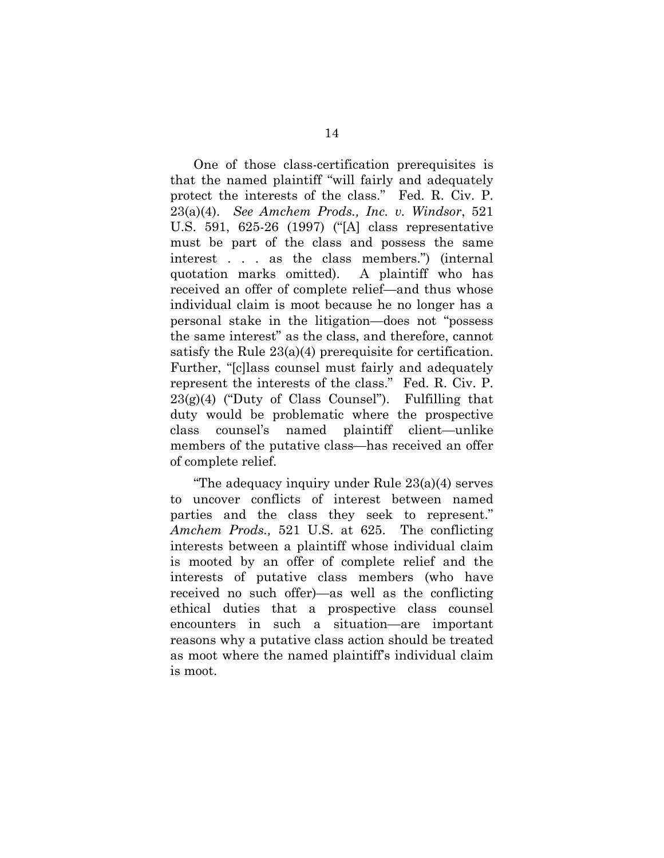<span id="page-22-0"></span>One of those class-certification prerequisites is that the named plaintiff "will fairly and adequately protect the interests of the class." Fed. R. Civ. P. 23(a)(4). *See Amchem Prods., Inc. v. Windsor*, 521 U.S. 591, 625-26 (1997) ("[A] class representative must be part of the class and possess the same interest . . . as the class members.") (internal quotation marks omitted). A plaintiff who has received an offer of complete relief—and thus whose individual claim is moot because he no longer has a personal stake in the litigation—does not "possess the same interest" as the class, and therefore, cannot satisfy the Rule 23(a)(4) prerequisite for certification. Further, "[c]lass counsel must fairly and adequately represent the interests of the class." Fed. R. Civ. P.  $23(g)(4)$  ("Duty of Class Counsel"). Fulfilling that duty would be problematic where the prospective class counsel's named plaintiff client—unlike members of the putative class—has received an offer of complete relief.

<span id="page-22-1"></span>"The adequacy inquiry under Rule 23(a)(4) serves to uncover conflicts of interest between named parties and the class they seek to represent." *Amchem Prods.,* 521 U.S. at 625. The conflicting interests between a plaintiff whose individual claim is mooted by an offer of complete relief and the interests of putative class members (who have received no such offer)—as well as the conflicting ethical duties that a prospective class counsel encounters in such a situation—are important reasons why a putative class action should be treated as moot where the named plaintiff's individual claim is moot.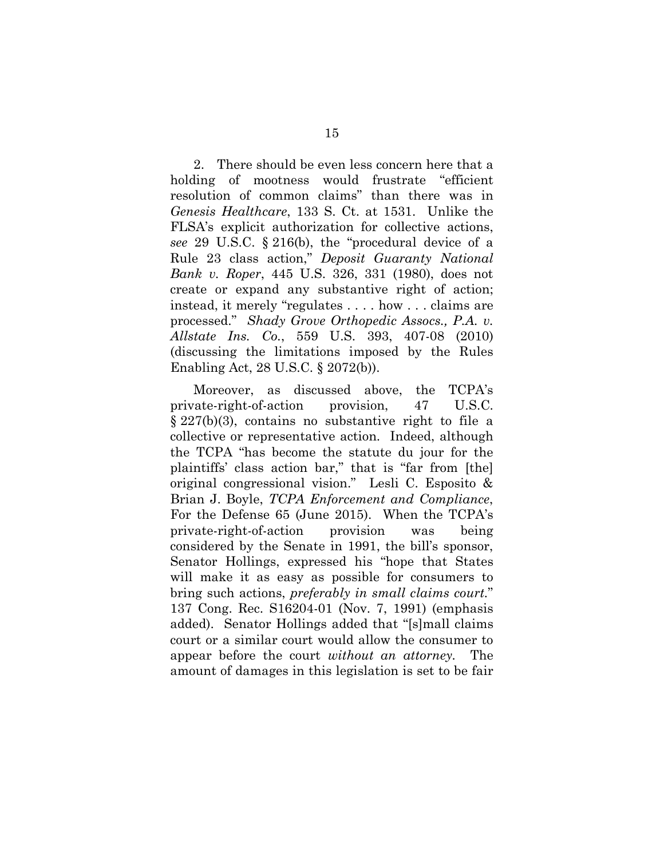<span id="page-23-1"></span><span id="page-23-0"></span>2. There should be even less concern here that a holding of mootness would frustrate "efficient resolution of common claims" than there was in *Genesis Healthcare*, 133 S. Ct. at 1531. Unlike the FLSA's explicit authorization for collective actions, *see* 29 U.S.C. § 216(b), the "procedural device of a Rule 23 class action," *Deposit Guaranty National Bank v. Roper*, 445 U.S. 326, 331 (1980), does not create or expand any substantive right of action; instead, it merely "regulates . . . . how . . . claims are processed." *Shady Grove Orthopedic Assocs., P.A. v. Allstate Ins. Co.*, 559 U.S. 393, 407-08 (2010) (discussing the limitations imposed by the Rules Enabling Act, 28 U.S.C. § 2072(b)).

<span id="page-23-2"></span>Moreover, as discussed above, the TCPA's private-right-of-action provision, 47 U.S.C. § 227(b)(3), contains no substantive right to file a collective or representative action. Indeed, although the TCPA "has become the statute du jour for the plaintiffs' class action bar," that is "far from [the] original congressional vision." Lesli C. Esposito & Brian J. Boyle, *TCPA Enforcement and Compliance*, For the Defense 65 (June 2015). When the TCPA's private-right-of-action provision was being considered by the Senate in 1991, the bill's sponsor, Senator Hollings, expressed his "hope that States will make it as easy as possible for consumers to bring such actions, *preferably in small claims court.*" 137 Cong. Rec. S16204-01 (Nov. 7, 1991) (emphasis added). Senator Hollings added that "[s]mall claims court or a similar court would allow the consumer to appear before the court *without an attorney.* The amount of damages in this legislation is set to be fair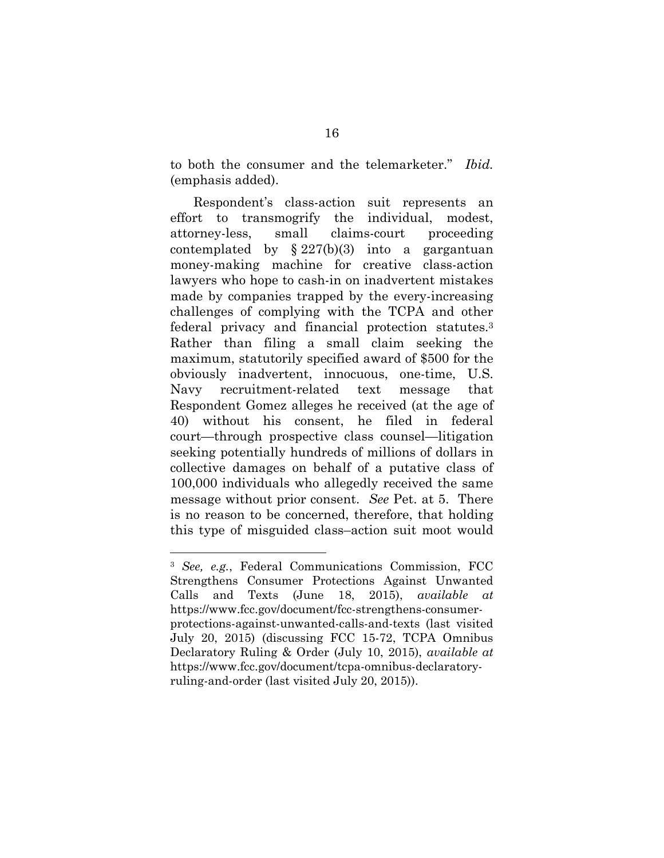<span id="page-24-0"></span>to both the consumer and the telemarketer." *Ibid.* (emphasis added).

Respondent's class-action suit represents an effort to transmogrify the individual, modest, attorney-less, small claims-court proceeding contemplated by  $\S 227(b)(3)$  into a gargantuan money-making machine for creative class-action lawyers who hope to cash-in on inadvertent mistakes made by companies trapped by the every-increasing challenges of complying with the TCPA and other federal privacy and financial protection statutes.[3](#page-24-1) Rather than filing a small claim seeking the maximum, statutorily specified award of \$500 for the obviously inadvertent, innocuous, one-time, U.S. Navy recruitment-related text message that Respondent Gomez alleges he received (at the age of 40) without his consent, he filed in federal court—through prospective class counsel—litigation seeking potentially hundreds of millions of dollars in collective damages on behalf of a putative class of 100,000 individuals who allegedly received the same message without prior consent. *See* Pet. at 5. There is no reason to be concerned, therefore, that holding this type of misguided class–action suit moot would

<span id="page-24-1"></span><sup>3</sup> *See, e.g.*, Federal Communications Commission, FCC Strengthens Consumer Protections Against Unwanted Calls and Texts (June 18, 2015), *available at* https://www.fcc.gov/document/fcc-strengthens-consumerprotections-against-unwanted-calls-and-texts (last visited July 20, 2015) (discussing FCC 15-72, TCPA Omnibus Declaratory Ruling & Order (July 10, 2015), *available at* https://www.fcc.gov/document/tcpa-omnibus-declaratoryruling-and-order (last visited July 20, 2015)).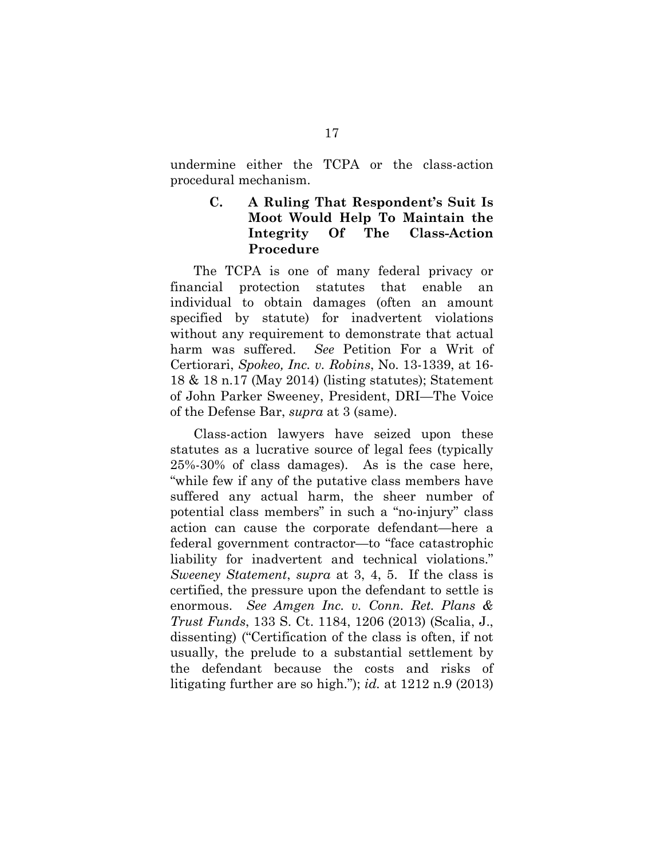undermine either the TCPA or the class-action procedural mechanism.

# <span id="page-25-0"></span>**C. A Ruling That Respondent's Suit Is Moot Would Help To Maintain the Integrity Of The Class-Action Procedure**

The TCPA is one of many federal privacy or financial protection statutes that enable an individual to obtain damages (often an amount specified by statute) for inadvertent violations without any requirement to demonstrate that actual harm was suffered. *See* Petition For a Writ of Certiorari, *Spokeo, Inc. v. Robins*, No. 13-1339, at 16- 18 & 18 n.17 (May 2014) (listing statutes); Statement of John Parker Sweeney, President, DRI—The Voice of the Defense Bar, *supra* at 3 (same).

<span id="page-25-1"></span>Class-action lawyers have seized upon these statutes as a lucrative source of legal fees (typically 25%-30% of class damages). As is the case here, "while few if any of the putative class members have suffered any actual harm, the sheer number of potential class members" in such a "no-injury" class action can cause the corporate defendant—here a federal government contractor—to "face catastrophic liability for inadvertent and technical violations." *Sweeney Statement*, *supra* at 3, 4, 5. If the class is certified, the pressure upon the defendant to settle is enormous. *See Amgen Inc. v. Conn. Ret. Plans & Trust Funds*, 133 S. Ct. 1184, 1206 (2013) (Scalia, J., dissenting) ("Certification of the class is often, if not usually, the prelude to a substantial settlement by the defendant because the costs and risks of litigating further are so high."); *id.* at 1212 n.9 (2013)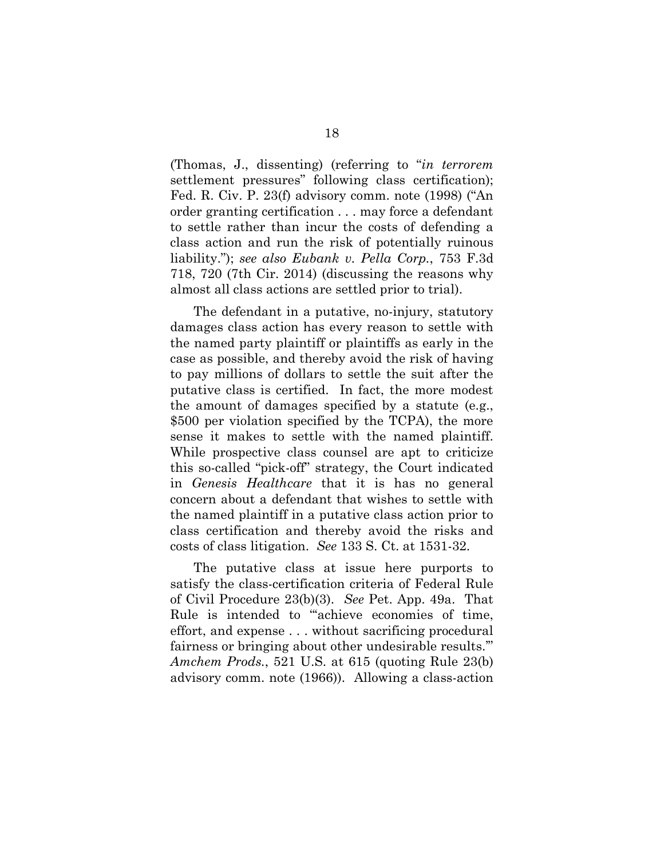<span id="page-26-3"></span>(Thomas, J., dissenting) (referring to "*in terrorem* settlement pressures" following class certification); Fed. R. Civ. P. 23(f) advisory comm. note (1998) ("An order granting certification . . . may force a defendant to settle rather than incur the costs of defending a class action and run the risk of potentially ruinous liability."); *see also Eubank v. Pella Corp.*, 753 F.3d 718, 720 (7th Cir. 2014) (discussing the reasons why almost all class actions are settled prior to trial).

<span id="page-26-1"></span>The defendant in a putative, no-injury, statutory damages class action has every reason to settle with the named party plaintiff or plaintiffs as early in the case as possible, and thereby avoid the risk of having to pay millions of dollars to settle the suit after the putative class is certified. In fact, the more modest the amount of damages specified by a statute (e.g., \$500 per violation specified by the TCPA), the more sense it makes to settle with the named plaintiff. While prospective class counsel are apt to criticize this so-called "pick-off" strategy, the Court indicated in *Genesis Healthcare* that it is has no general concern about a defendant that wishes to settle with the named plaintiff in a putative class action prior to class certification and thereby avoid the risks and costs of class litigation. *See* 133 S. Ct. at 1531-32.

<span id="page-26-2"></span><span id="page-26-0"></span>The putative class at issue here purports to satisfy the class-certification criteria of Federal Rule of Civil Procedure 23(b)(3). *See* Pet. App. 49a. That Rule is intended to "'achieve economies of time, effort, and expense . . . without sacrificing procedural fairness or bringing about other undesirable results.'" *Amchem Prods.*, 521 U.S. at 615 (quoting Rule 23(b) advisory comm. note (1966)). Allowing a class-action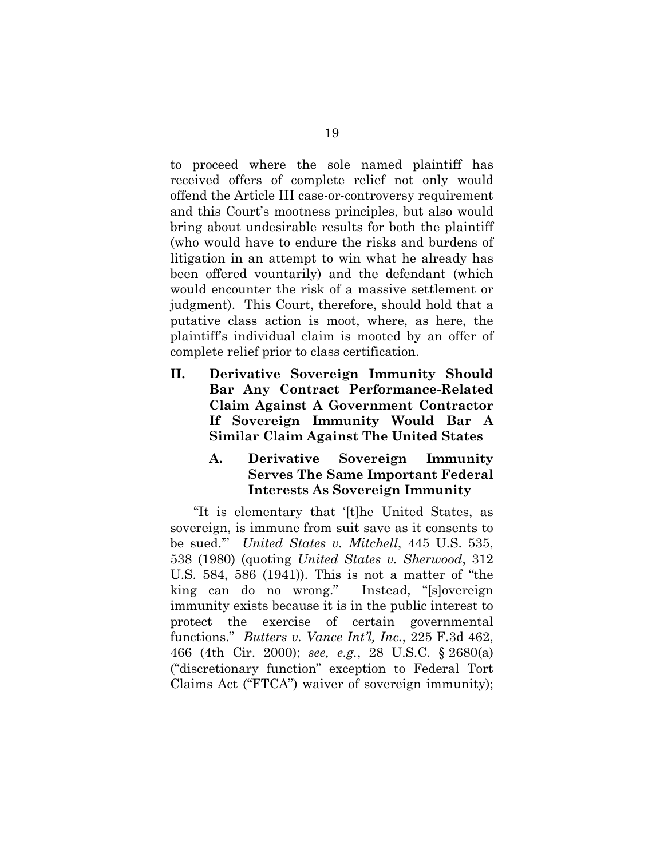to proceed where the sole named plaintiff has received offers of complete relief not only would offend the Article III case-or-controversy requirement and this Court's mootness principles, but also would bring about undesirable results for both the plaintiff (who would have to endure the risks and burdens of litigation in an attempt to win what he already has been offered vountarily) and the defendant (which would encounter the risk of a massive settlement or judgment). This Court, therefore, should hold that a putative class action is moot, where, as here, the plaintiff's individual claim is mooted by an offer of complete relief prior to class certification.

<span id="page-27-0"></span>**II. Derivative Sovereign Immunity Should Bar Any Contract Performance-Related Claim Against A Government Contractor If Sovereign Immunity Would Bar A Similar Claim Against The United States**

## <span id="page-27-1"></span>**A. Derivative Sovereign Immunity Serves The Same Important Federal Interests As Sovereign Immunity**

<span id="page-27-2"></span>"It is elementary that '[t]he United States, as sovereign, is immune from suit save as it consents to be sued.'" *United States v. Mitchell*, 445 U.S. 535, 538 (1980) (quoting *United States v. Sherwood*, 312 U.S. 584, 586 (1941)). This is not a matter of "the king can do no wrong." Instead, "[s]overeign immunity exists because it is in the public interest to protect the exercise of certain governmental functions." *Butters v. Vance Int'l, Inc.*, 225 F.3d 462, 466 (4th Cir. 2000); *see, e.g.*, 28 U.S.C. § 2680(a) ("discretionary function" exception to Federal Tort Claims Act ("FTCA") waiver of sovereign immunity);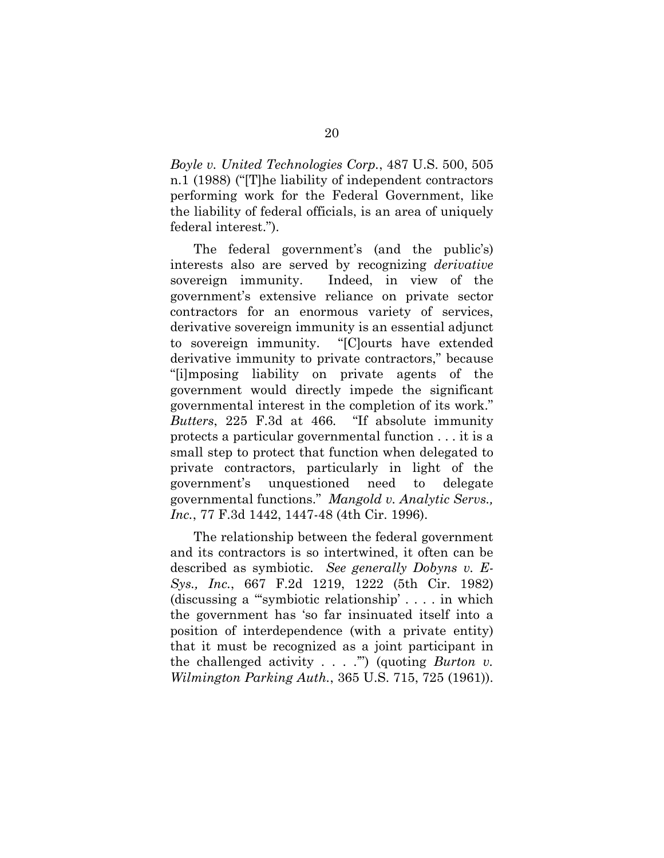*Boyle v. United Technologies Corp.*, 487 U.S. 500, 505 n.1 (1988) ("[T]he liability of independent contractors performing work for the Federal Government, like the liability of federal officials, is an area of uniquely federal interest.").

The federal government's (and the public's) interests also are served by recognizing *derivative* sovereign immunity. Indeed, in view of the government's extensive reliance on private sector contractors for an enormous variety of services, derivative sovereign immunity is an essential adjunct to sovereign immunity. "[C]ourts have extended derivative immunity to private contractors," because "[i]mposing liability on private agents of the government would directly impede the significant governmental interest in the completion of its work." *Butters*, 225 F.3d at 466*.* "If absolute immunity protects a particular governmental function . . . it is a small step to protect that function when delegated to private contractors, particularly in light of the government's unquestioned need to delegate governmental functions." *Mangold v. Analytic Servs., Inc.*, 77 F.3d 1442, 1447-48 (4th Cir. 1996).

<span id="page-28-0"></span>The relationship between the federal government and its contractors is so intertwined, it often can be described as symbiotic. *See generally Dobyns v. E-Sys., Inc.*, 667 F.2d 1219, 1222 (5th Cir. 1982) (discussing a "'symbiotic relationship' . . . . in which the government has 'so far insinuated itself into a position of interdependence (with a private entity) that it must be recognized as a joint participant in the challenged activity . . . .'") (quoting *Burton v. Wilmington Parking Auth.*, 365 U.S. 715, 725 (1961)).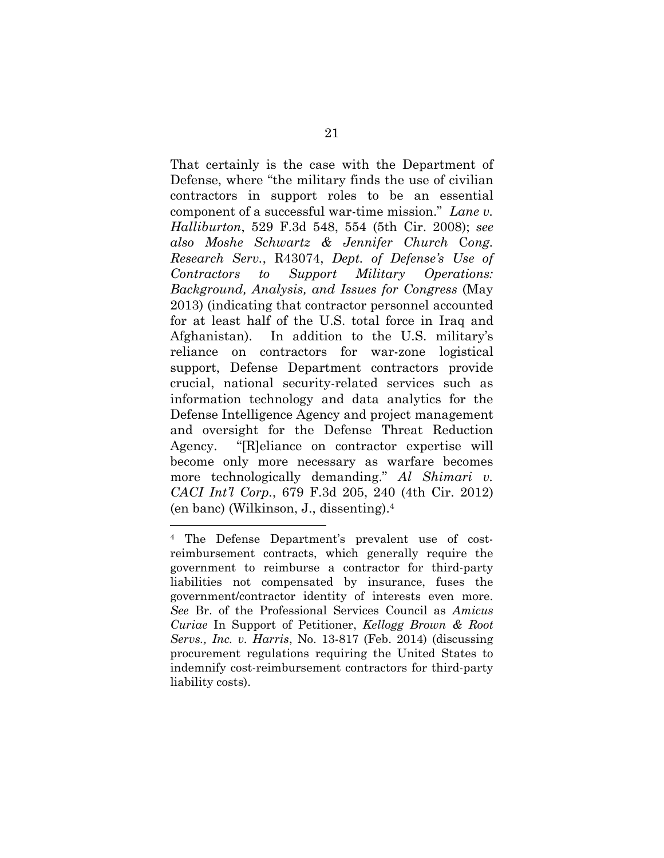That certainly is the case with the Department of Defense, where "the military finds the use of civilian contractors in support roles to be an essential component of a successful war-time mission." *Lane v. Halliburton*, 529 F.3d 548, 554 (5th Cir. 2008); *see also Moshe Schwartz & Jennifer Church* C*ong. Research Serv.*, R43074, *Dept. of Defense's Use of Contractors to Support Military Operations: Background, Analysis, and Issues for Congress* (May 2013) (indicating that contractor personnel accounted for at least half of the U.S. total force in Iraq and Afghanistan). In addition to the U.S. military's reliance on contractors for war-zone logistical support, Defense Department contractors provide crucial, national security-related services such as information technology and data analytics for the Defense Intelligence Agency and project management and oversight for the Defense Threat Reduction Agency. "[R]eliance on contractor expertise will become only more necessary as warfare becomes more technologically demanding." *Al Shimari v. CACI Int'l Corp.*, 679 F.3d 205, 240 (4th Cir. 2012) (en banc) (Wilkinson, J., dissenting).<sup>4</sup>

<span id="page-29-0"></span><sup>4</sup> The Defense Department's prevalent use of costreimbursement contracts, which generally require the government to reimburse a contractor for third-party liabilities not compensated by insurance, fuses the government/contractor identity of interests even more. *See* Br. of the Professional Services Council as *Amicus Curiae* In Support of Petitioner, *Kellogg Brown & Root Servs., Inc. v. Harris*, No. 13-817 (Feb. 2014) (discussing procurement regulations requiring the United States to indemnify cost-reimbursement contractors for third-party liability costs).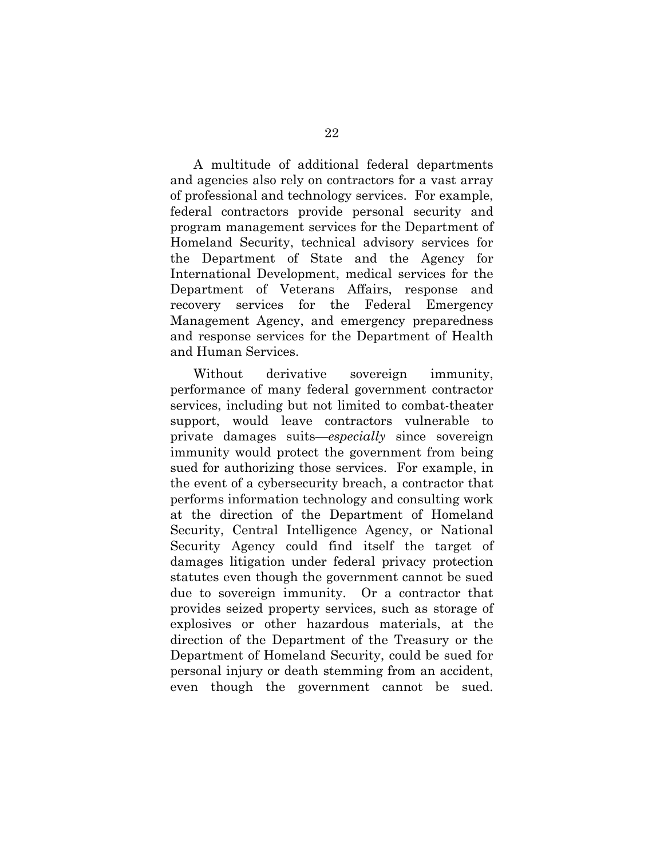A multitude of additional federal departments and agencies also rely on contractors for a vast array of professional and technology services. For example, federal contractors provide personal security and program management services for the Department of Homeland Security, technical advisory services for the Department of State and the Agency for International Development, medical services for the Department of Veterans Affairs, response and recovery services for the Federal Emergency Management Agency, and emergency preparedness and response services for the Department of Health and Human Services.

Without derivative sovereign immunity, performance of many federal government contractor services, including but not limited to combat-theater support, would leave contractors vulnerable to private damages suits—*especially* since sovereign immunity would protect the government from being sued for authorizing those services. For example, in the event of a cybersecurity breach, a contractor that performs information technology and consulting work at the direction of the Department of Homeland Security, Central Intelligence Agency, or National Security Agency could find itself the target of damages litigation under federal privacy protection statutes even though the government cannot be sued due to sovereign immunity. Or a contractor that provides seized property services, such as storage of explosives or other hazardous materials, at the direction of the Department of the Treasury or the Department of Homeland Security, could be sued for personal injury or death stemming from an accident, even though the government cannot be sued.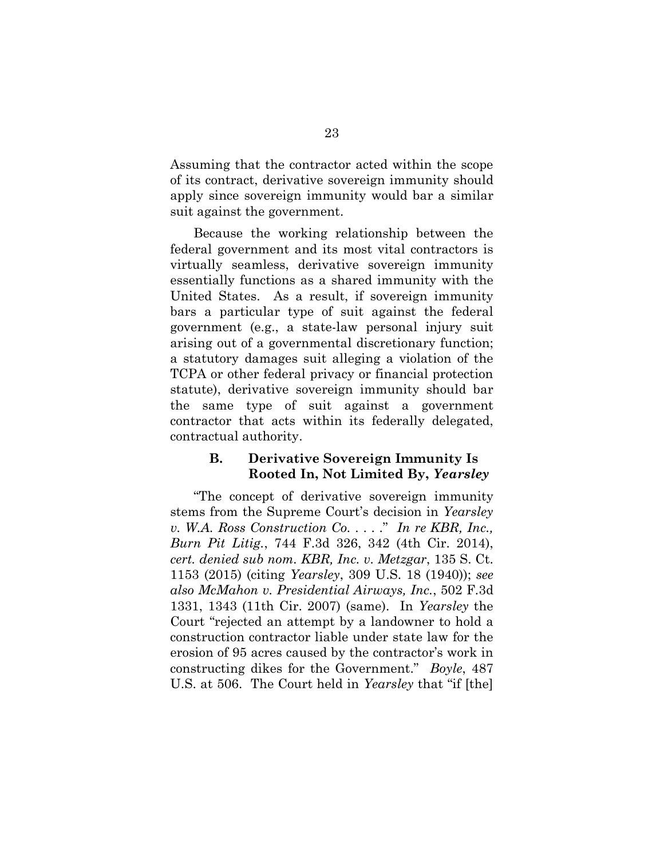Assuming that the contractor acted within the scope of its contract, derivative sovereign immunity should apply since sovereign immunity would bar a similar suit against the government.

Because the working relationship between the federal government and its most vital contractors is virtually seamless, derivative sovereign immunity essentially functions as a shared immunity with the United States. As a result, if sovereign immunity bars a particular type of suit against the federal government (e.g., a state-law personal injury suit arising out of a governmental discretionary function; a statutory damages suit alleging a violation of the TCPA or other federal privacy or financial protection statute), derivative sovereign immunity should bar the same type of suit against a government contractor that acts within its federally delegated, contractual authority.

# <span id="page-31-0"></span>**B. Derivative Sovereign Immunity Is Rooted In, Not Limited By,** *Yearsley*

"The concept of derivative sovereign immunity stems from the Supreme Court's decision in *Yearsley v. W.A. Ross Construction Co.* . . . ." *In re KBR, Inc., Burn Pit Litig.*, 744 F.3d 326, 342 (4th Cir. 2014), *cert. denied sub nom. KBR, Inc. v. Metzgar*, 135 S. Ct. 1153 (2015) (citing *Yearsley*, 309 U.S. 18 (1940)); *see also McMahon v. Presidential Airways, Inc.*, 502 F.3d 1331, 1343 (11th Cir. 2007) (same). In *Yearsley* the Court "rejected an attempt by a landowner to hold a construction contractor liable under state law for the erosion of 95 acres caused by the contractor's work in constructing dikes for the Government." *Boyle*, 487 U.S. at 506. The Court held in *Yearsley* that "if [the]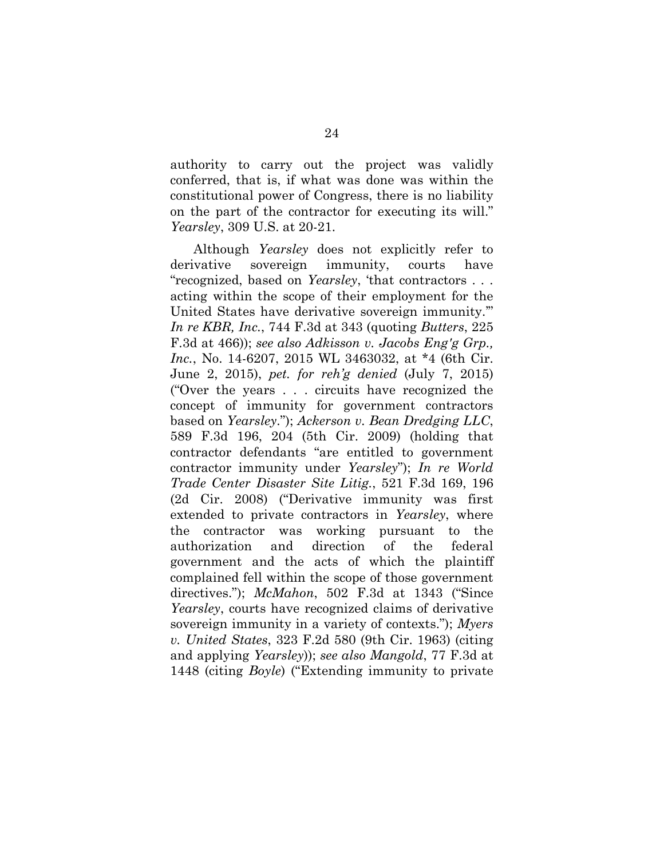authority to carry out the project was validly conferred, that is, if what was done was within the constitutional power of Congress, there is no liability on the part of the contractor for executing its will." *Yearsley*, 309 U.S. at 20-21.

<span id="page-32-2"></span><span id="page-32-1"></span><span id="page-32-0"></span>Although *Yearsley* does not explicitly refer to derivative sovereign immunity, courts have "recognized, based on *Yearsley*, 'that contractors . . . acting within the scope of their employment for the United States have derivative sovereign immunity.'" *In re KBR, Inc.*, 744 F.3d at 343 (quoting *Butters*, 225 F.3d at 466)); *see also Adkisson v. Jacobs Eng'g Grp., Inc.*, No. 14-6207, 2015 WL 3463032, at \*4 (6th Cir. June 2, 2015), *pet. for reh'g denied* (July 7, 2015) ("Over the years . . . circuits have recognized the concept of immunity for government contractors based on *Yearsley*."); *Ackerson v. Bean Dredging LLC*, 589 F.3d 196, 204 (5th Cir. 2009) (holding that contractor defendants "are entitled to government contractor immunity under *Yearsley*"); *In re World Trade Center Disaster Site Litig.*, 521 F.3d 169, 196 (2d Cir. 2008) ("Derivative immunity was first extended to private contractors in *[Yearsley](http://www.westlaw.com/Link/Document/FullText?findType=Y&serNum=1940125925&originatingDoc=Id22b585cfb2511dcb595a478de34cd72&refType=RP&originationContext=document&vr=3.0&rs=cblt1.0&transitionType=DocumentItem&contextData=(sc.FindAndPrintPortal))*, where the contractor was working pursuant to the authorization and direction of the federal government and the acts of which the plaintiff complained fell within the scope of those government directives."); *McMahon*, 502 F.3d at 1343 ("Since *Yearsley*, courts have recognized claims of derivative sovereign immunity in a variety of contexts."); *Myers v. United States*, 323 F.2d 580 (9th Cir. 1963) (citing and applying *Yearsley*)); *see also Mangold*, 77 F.3d at 1448 (citing *Boyle*) ("Extending immunity to private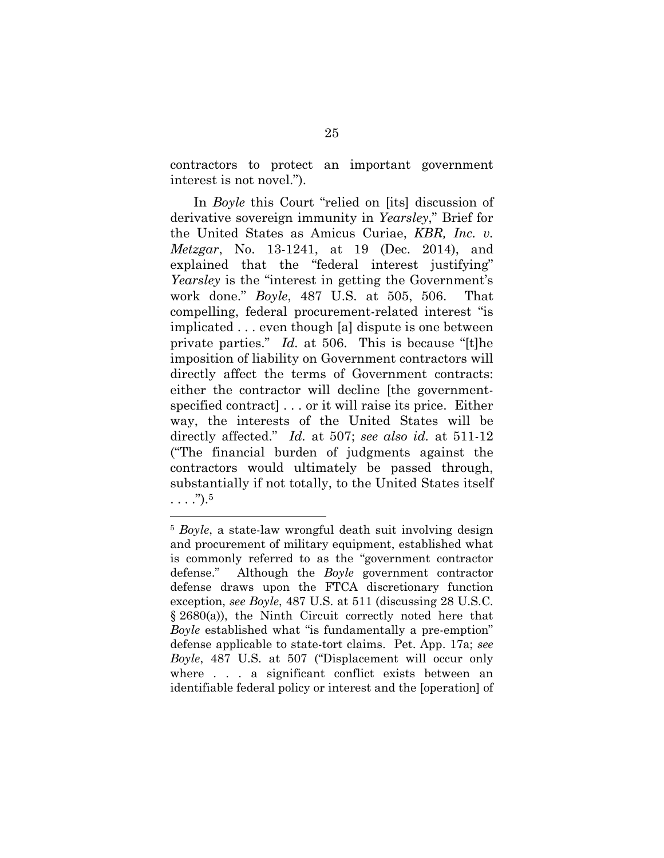contractors to protect an important government interest is not novel.").

In *Boyle* this Court "relied on [its] discussion of derivative sovereign immunity in *Yearsley*," Brief for the United States as Amicus Curiae, *KBR, Inc. v. Metzgar*, No. 13-1241, at 19 (Dec. 2014), and explained that the "federal interest justifying" *Yearsley* is the "interest in getting the Government's work done." *Boyle*, 487 U.S. at 505, 506. That compelling, federal procurement-related interest "is implicated . . . even though [a] dispute is one between private parties." *Id.* at 506. This is because "[t]he imposition of liability on Government contractors will directly affect the terms of Government contracts: either the contractor will decline [the governmentspecified contract] . . . or it will raise its price. Either way, the interests of the United States will be directly affected." *Id.* at 507; *see also id.* at 511-12 ("The financial burden of judgments against the contractors would ultimately be passed through, substantially if not totally, to the United States itself  $\ldots$ ." $)$ .<sup>[5](#page-33-0)</sup>

<span id="page-33-0"></span><sup>5</sup> *Boyle*, a state-law wrongful death suit involving design and procurement of military equipment, established what is commonly referred to as the "government contractor defense." Although the *Boyle* government contractor defense draws upon the FTCA discretionary function exception, *see Boyle*, 487 U.S. at 511 (discussing 28 U.S.C. § 2680(a)), the Ninth Circuit correctly noted here that *Boyle* established what "is fundamentally a pre-emption" defense applicable to state-tort claims. Pet. App. 17a; *see Boyle*, 487 U.S. at 507 ("Displacement will occur only where . . . a significant conflict exists between an identifiable federal policy or interest and the [operation] of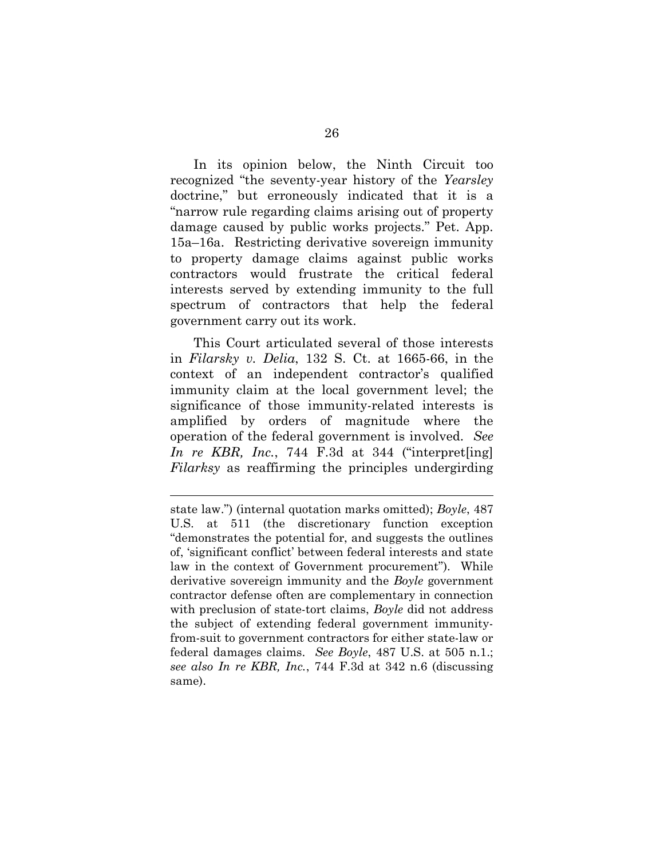In its opinion below, the Ninth Circuit too recognized "the seventy-year history of the *Yearsley* doctrine," but erroneously indicated that it is a "narrow rule regarding claims arising out of property damage caused by public works projects." Pet. App. 15a–16a. Restricting derivative sovereign immunity to property damage claims against public works contractors would frustrate the critical federal interests served by extending immunity to the full spectrum of contractors that help the federal government carry out its work.

<span id="page-34-0"></span>This Court articulated several of those interests in *Filarsky v. Delia*, 132 S. Ct. at 1665-66, in the context of an independent contractor's qualified immunity claim at the local government level; the significance of those immunity-related interests is amplified by orders of magnitude where the operation of the federal government is involved. *See In re KBR, Inc.*, 744 F.3d at 344 ("interpret[ing] *Filarksy* as reaffirming the principles undergirding

state law.") (internal quotation marks omitted); *Boyle*, 487 U.S. at 511 (the discretionary function exception "demonstrates the potential for, and suggests the outlines of, 'significant conflict' between federal interests and state law in the context of Government procurement"). While derivative sovereign immunity and the *Boyle* government contractor defense often are complementary in connection with preclusion of state-tort claims, *Boyle* did not address the subject of extending federal government immunityfrom-suit to government contractors for either state-law or federal damages claims. *See Boyle*, 487 U.S. at 505 n.1.; *see also In re KBR, Inc.*, 744 F.3d at 342 n.6 (discussing same).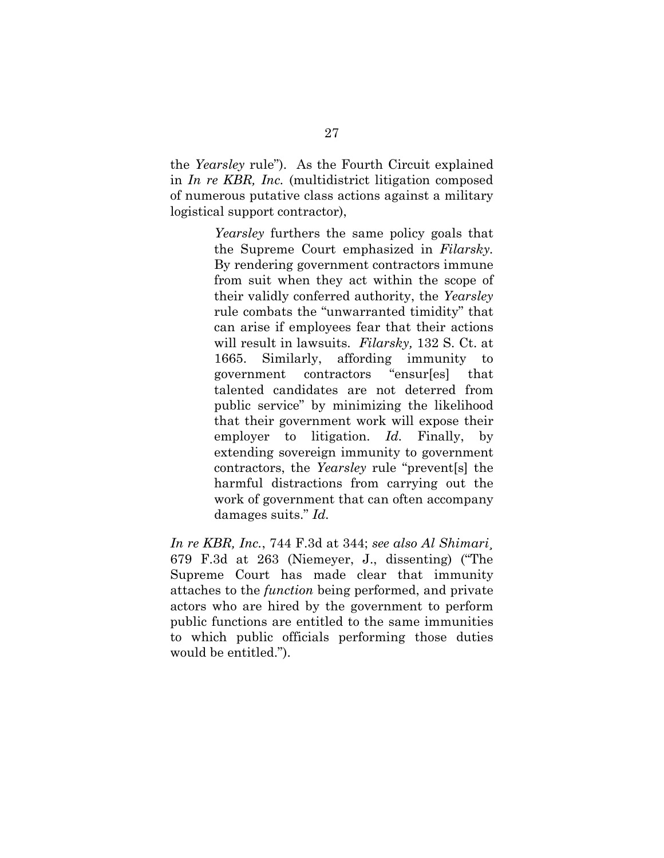the *Yearsley* rule"). As the Fourth Circuit explained in *In re KBR, Inc.* (multidistrict litigation composed of numerous putative class actions against a military logistical support contractor),

> <span id="page-35-1"></span>*Yearsley* furthers the same policy goals that the Supreme Court emphasized in *Filarsky.* By rendering government contractors immune from suit when they act within the scope of their validly conferred authority, the *[Yearsley](http://www.westlaw.com/Link/Document/FullText?findType=Y&serNum=1940125925&originatingDoc=I9cd8bfaba56411e3a659df62eba144e8&refType=RP&originationContext=document&vr=3.0&rs=cblt1.0&transitionType=DocumentItem&contextData=(sc.FindAndPrintPortal))* rule combats the "unwarranted timidity" that can arise if employees fear that their actions will result in lawsuits. *Filarsky,* [132 S. Ct. at](http://www.westlaw.com/Link/Document/FullText?findType=Y&serNum=2027504855&pubNum=708&originatingDoc=I9cd8bfaba56411e3a659df62eba144e8&refType=RP&fi=co_pp_sp_708_1665&originationContext=document&vr=3.0&rs=cblt1.0&transitionType=DocumentItem&contextData=(sc.FindAndPrintPortal)#co_pp_sp_708_1665) [1665. Similarly, affording immunity to](http://www.westlaw.com/Link/Document/FullText?findType=Y&serNum=2027504855&pubNum=708&originatingDoc=I9cd8bfaba56411e3a659df62eba144e8&refType=RP&fi=co_pp_sp_708_1665&originationContext=document&vr=3.0&rs=cblt1.0&transitionType=DocumentItem&contextData=(sc.FindAndPrintPortal)#co_pp_sp_708_1665) government contractors "ensur[es] that talented candidates are not deterred from public service" by minimizing the likelihood that their government work will expose their employer to litigation. *[Id.](http://www.westlaw.com/Link/Document/FullText?findType=Y&serNum=2027504855&originatingDoc=I9cd8bfaba56411e3a659df62eba144e8&refType=RP&originationContext=document&vr=3.0&rs=cblt1.0&transitionType=DocumentItem&contextData=(sc.FindAndPrintPortal))* Finally, by extending sovereign immunity to government contractors, the *[Yearsley](http://www.westlaw.com/Link/Document/FullText?findType=Y&serNum=1940125925&originatingDoc=I9cd8bfaba56411e3a659df62eba144e8&refType=RP&originationContext=document&vr=3.0&rs=cblt1.0&transitionType=DocumentItem&contextData=(sc.FindAndPrintPortal))* rule "prevent[s] the harmful distractions from carrying out the work of government that can often accompany damages suits." *[Id.](http://www.westlaw.com/Link/Document/FullText?findType=Y&serNum=2027504855&originatingDoc=I9cd8bfaba56411e3a659df62eba144e8&refType=RP&originationContext=document&vr=3.0&rs=cblt1.0&transitionType=DocumentItem&contextData=(sc.FindAndPrintPortal))*

<span id="page-35-0"></span>*In re KBR, Inc.*, 744 F.3d at 344; *see also Al Shimari*¸ 679 F.3d at 263 (Niemeyer, J., dissenting) ("The Supreme Court has made clear that immunity attaches to the *function* being performed, and private actors who are hired by the government to perform public functions are entitled to the same immunities to which public officials performing those duties would be entitled.").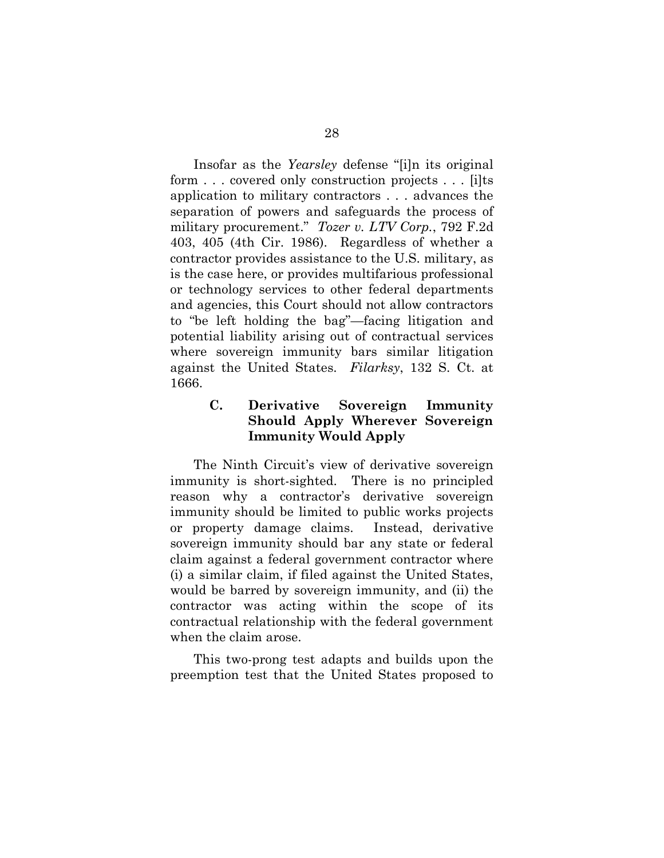<span id="page-36-1"></span>Insofar as the *Yearsley* defense "[i]n its original form . . . covered only construction projects . . . [i]ts application to military contractors . . . advances the separation of powers and safeguards the process of military procurement." *Tozer v. LTV Corp.*, 792 F.2d 403, 405 (4th Cir. 1986). Regardless of whether a contractor provides assistance to the U.S. military, as is the case here, or provides multifarious professional or technology services to other federal departments and agencies, this Court should not allow contractors to "be left holding the bag"—facing litigation and potential liability arising out of contractual services where sovereign immunity bars similar litigation against the United States. *Filarksy*, 132 S. Ct. at 1666.

# <span id="page-36-0"></span>**C. Derivative Sovereign Immunity Should Apply Wherever Sovereign Immunity Would Apply**

The Ninth Circuit's view of derivative sovereign immunity is short-sighted. There is no principled reason why a contractor's derivative sovereign immunity should be limited to public works projects or property damage claims. Instead, derivative sovereign immunity should bar any state or federal claim against a federal government contractor where (i) a similar claim, if filed against the United States, would be barred by sovereign immunity, and (ii) the contractor was acting within the scope of its contractual relationship with the federal government when the claim arose.

This two-prong test adapts and builds upon the preemption test that the United States proposed to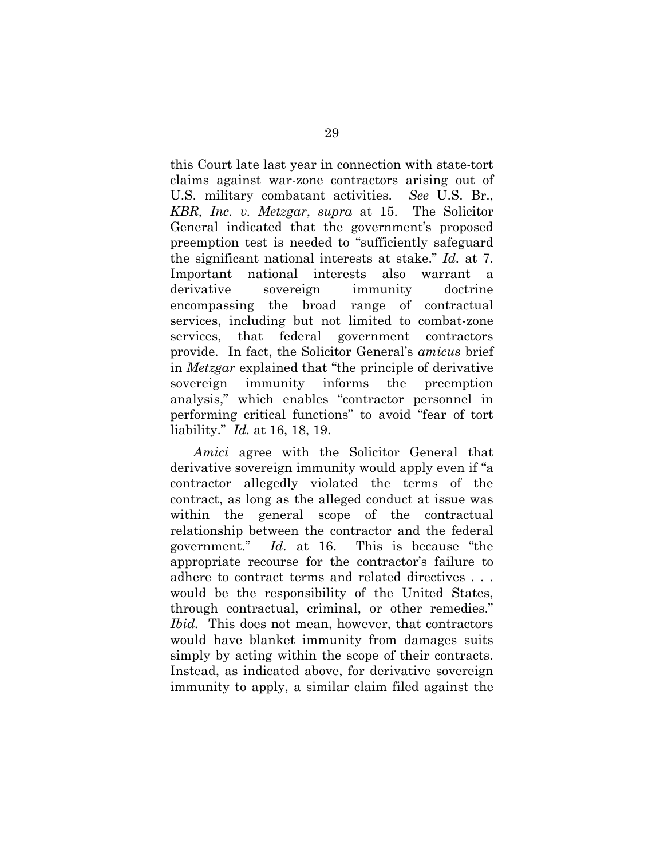this Court late last year in connection with state-tort claims against war-zone contractors arising out of U.S. military combatant activities. *See* U.S. Br., *KBR, Inc. v. Metzgar*, *supra* at 15. The Solicitor General indicated that the government's proposed preemption test is needed to "sufficiently safeguard the significant national interests at stake." *Id.* at 7. Important national interests also warrant a derivative sovereign immunity doctrine encompassing the broad range of contractual services, including but not limited to combat-zone services, that federal government contractors provide. In fact, the Solicitor General's *amicus* brief in *Metzgar* explained that "the principle of derivative sovereign immunity informs the preemption analysis," which enables "contractor personnel in performing critical functions" to avoid "fear of tort liability." *Id.* at 16, 18, 19.

*Amici* agree with the Solicitor General that derivative sovereign immunity would apply even if "a contractor allegedly violated the terms of the contract, as long as the alleged conduct at issue was within the general scope of the contractual relationship between the contractor and the federal government." *Id.* at 16. This is because "the appropriate recourse for the contractor's failure to adhere to contract terms and related directives . . . would be the responsibility of the United States, through contractual, criminal, or other remedies." *Ibid.* This does not mean, however, that contractors would have blanket immunity from damages suits simply by acting within the scope of their contracts. Instead, as indicated above, for derivative sovereign immunity to apply, a similar claim filed against the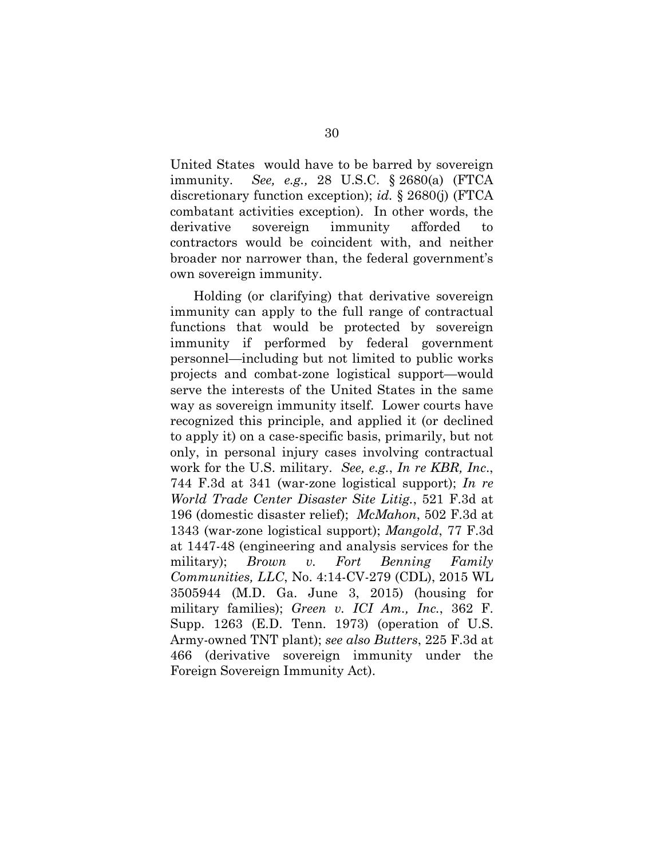United States would have to be barred by sovereign immunity. *See, e.g.,* 28 U.S.C. § 2680(a) (FTCA discretionary function exception); *id.* § 2680(j) (FTCA combatant activities exception). In other words, the derivative sovereign immunity afforded to contractors would be coincident with, and neither broader nor narrower than, the federal government's own sovereign immunity.

<span id="page-38-3"></span><span id="page-38-2"></span><span id="page-38-1"></span><span id="page-38-0"></span>Holding (or clarifying) that derivative sovereign immunity can apply to the full range of contractual functions that would be protected by sovereign immunity if performed by federal government personnel—including but not limited to public works projects and combat-zone logistical support—would serve the interests of the United States in the same way as sovereign immunity itself. Lower courts have recognized this principle, and applied it (or declined to apply it) on a case-specific basis, primarily, but not only, in personal injury cases involving contractual work for the U.S. military. *See, e.g.*, *In re KBR, Inc*., 744 F.3d at 341 (war-zone logistical support); *In re World Trade Center Disaster Site Litig.*, 521 F.3d at 196 (domestic disaster relief); *McMahon*, 502 F.3d at 1343 (war-zone logistical support); *Mangold*, 77 F.3d at 1447-48 (engineering and analysis services for the military); *Brown v. Fort Benning Family Communities, LLC*, No. 4:14-CV-279 (CDL), 2015 WL 3505944 (M.D. Ga. June 3, 2015) (housing for military families); *Green v. ICI Am., Inc.*, 362 F. Supp. 1263 (E.D. Tenn. 1973) (operation of U.S. Army-owned TNT plant); *see also Butters*, 225 F.3d at 466 (derivative sovereign immunity under the Foreign Sovereign Immunity Act).